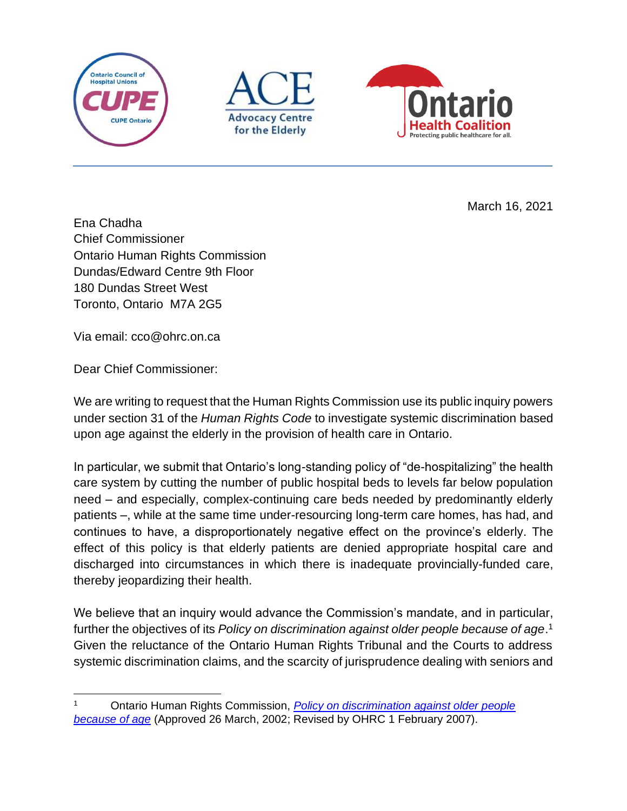





March 16, 2021

Ena Chadha Chief Commissioner Ontario Human Rights Commission Dundas/Edward Centre 9th Floor 180 Dundas Street West Toronto, Ontario M7A 2G5

Via email: cco@ohrc.on.ca

Dear Chief Commissioner:

We are writing to request that the Human Rights Commission use its public inquiry powers under section 31 of the *Human Rights Code* to investigate systemic discrimination based upon age against the elderly in the provision of health care in Ontario.

In particular, we submit that Ontario's long-standing policy of "de-hospitalizing" the health care system by cutting the number of public hospital beds to levels far below population need – and especially, complex-continuing care beds needed by predominantly elderly patients –, while at the same time under-resourcing long-term care homes, has had, and continues to have, a disproportionately negative effect on the province's elderly. The effect of this policy is that elderly patients are denied appropriate hospital care and discharged into circumstances in which there is inadequate provincially-funded care, thereby jeopardizing their health.

We believe that an inquiry would advance the Commission's mandate, and in particular, further the objectives of its *Policy on discrimination against older people because of age*. 1 Given the reluctance of the Ontario Human Rights Tribunal and the Courts to address systemic discrimination claims, and the scarcity of jurisprudence dealing with seniors and

<sup>1</sup> Ontario Human Rights Commission, *[Policy on discrimination against older people](http://www.ohrc.on.ca/en/policy-discrimination-against-older-people-because-age)  [because of age](http://www.ohrc.on.ca/en/policy-discrimination-against-older-people-because-age)* (Approved 26 March, 2002; Revised by OHRC 1 February 2007).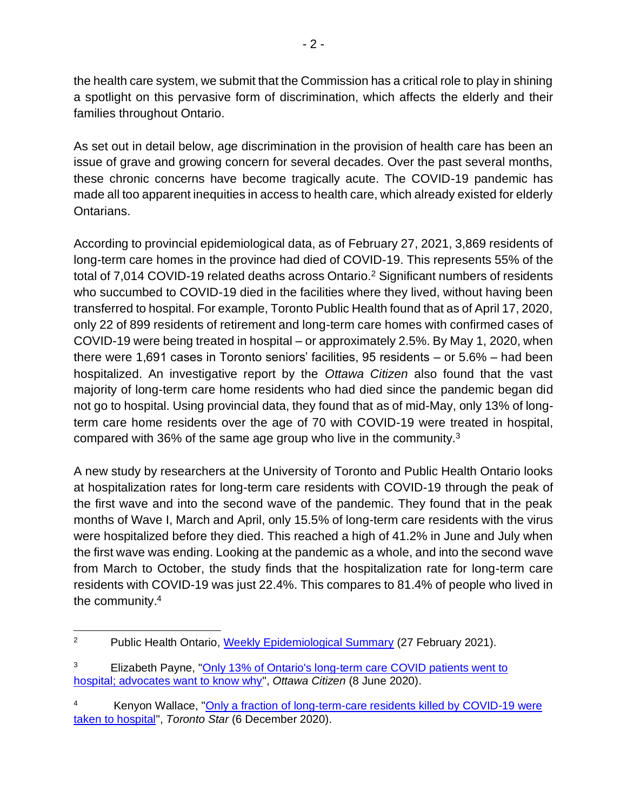the health care system, we submit that the Commission has a critical role to play in shining a spotlight on this pervasive form of discrimination, which affects the elderly and their families throughout Ontario.

As set out in detail below, age discrimination in the provision of health care has been an issue of grave and growing concern for several decades. Over the past several months, these chronic concerns have become tragically acute. The COVID-19 pandemic has made all too apparent inequities in access to health care, which already existed for elderly Ontarians.

According to provincial epidemiological data, as of February 27, 2021, 3,869 residents of long-term care homes in the province had died of COVID-19. This represents 55% of the total of 7,014 COVID-19 related deaths across Ontario.<sup>2</sup> Significant numbers of residents who succumbed to COVID-19 died in the facilities where they lived, without having been transferred to hospital. For example, Toronto Public Health found that as of April 17, 2020, only 22 of 899 residents of retirement and long-term care homes with confirmed cases of COVID-19 were being treated in hospital – or approximately 2.5%. By May 1, 2020, when there were 1,691 cases in Toronto seniors' facilities, 95 residents – or 5.6% – had been hospitalized. An investigative report by the *Ottawa Citizen* also found that the vast majority of long-term care home residents who had died since the pandemic began did not go to hospital. Using provincial data, they found that as of mid-May, only 13% of longterm care home residents over the age of 70 with COVID-19 were treated in hospital, compared with 36% of the same age group who live in the community.<sup>3</sup>

A new study by researchers at the University of Toronto and Public Health Ontario looks at hospitalization rates for long-term care residents with COVID-19 through the peak of the first wave and into the second wave of the pandemic. They found that in the peak months of Wave I, March and April, only 15.5% of long-term care residents with the virus were hospitalized before they died. This reached a high of 41.2% in June and July when the first wave was ending. Looking at the pandemic as a whole, and into the second wave from March to October, the study finds that the hospitalization rate for long-term care residents with COVID-19 was just 22.4%. This compares to 81.4% of people who lived in the community.<sup>4</sup>

<sup>&</sup>lt;sup>2</sup> Public Health Ontario, [Weekly Epidemiological Summary](https://www.publichealthontario.ca/-/media/documents/ncov/epi/covid-19-weekly-epi-summary-report.pdf?la=en) (27 February 2021).

Elizabeth Payne, "Only 13% of Ontario's long-term care COVID patients went to [hospital; advocates want to know why"](https://ottawacitizen.com/news/local-news/only-13-of-ontarios-long-term-care-covid-patients-went-to-hospital-advocates-want-to-know-why), *Ottawa Citizen* (8 June 2020).

Kenyon Wallace, "Only a fraction of long-term-care residents killed by COVID-19 were [taken to hospital"](https://www.thestar.com/news/gta/2020/12/06/only-a-fraction-of-long-term-care-residents-killed-by-covid-19-were-taken-to-hospital-a-mount-sinai-doctor-says-the-system-shut-them-out-with-beds-available.html?fbclid=IwAR0_8lkT2e6_sCmJAK0SBY__JI2miHhmAyCpR1mq7fTl4IYpxP3JLS0PmU0), *Toronto Star* (6 December 2020).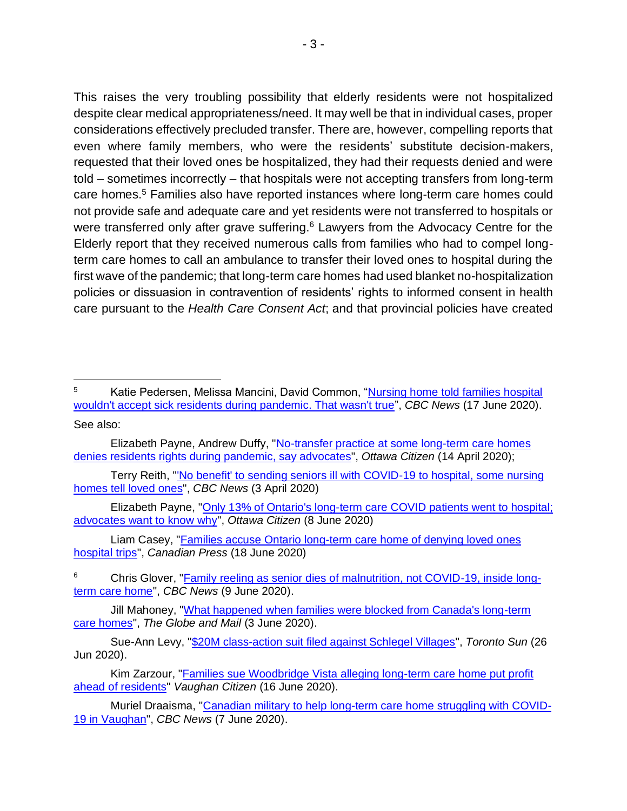This raises the very troubling possibility that elderly residents were not hospitalized despite clear medical appropriateness/need. It may well be that in individual cases, proper considerations effectively precluded transfer. There are, however, compelling reports that even where family members, who were the residents' substitute decision-makers, requested that their loved ones be hospitalized, they had their requests denied and were told – sometimes incorrectly – that hospitals were not accepting transfers from long-term care homes.<sup>5</sup> Families also have reported instances where long-term care homes could not provide safe and adequate care and yet residents were not transferred to hospitals or were transferred only after grave suffering.<sup>6</sup> Lawyers from the Advocacy Centre for the Elderly report that they received numerous calls from families who had to compel longterm care homes to call an ambulance to transfer their loved ones to hospital during the first wave of the pandemic; that long-term care homes had used blanket no-hospitalization policies or dissuasion in contravention of residents' rights to informed consent in health care pursuant to the *Health Care Consent Act*; and that provincial policies have created

See also:

Elizabeth Payne, Andrew Duffy, "No-transfer practice at some long-term care homes [denies residents rights during pandemic, say advocates"](https://ottawacitizen.com/news/local-news/no-transfer-policy-at-some-long-term-care-homes-denies-residents-rights-during-pandemic-say-advocates), *Ottawa Citizen* (14 April 2020);

Terry Reith, ["'No benefit' to sending seniors ill with COVID-19 to hospital, some nursing](https://www.cbc.ca/news/health/covid-19-long-term-care-1.5519657)  [homes tell loved ones"](https://www.cbc.ca/news/health/covid-19-long-term-care-1.5519657), *CBC News* (3 April 2020)

Elizabeth Payne, ["Only 13% of Ontario's long-term care COVID patients went to hospital;](https://ottawacitizen.com/news/local-news/only-13-of-ontarios-long-term-care-covid-patients-went-to-hospital-advocates-want-to-know-why)  [advocates want to know why"](https://ottawacitizen.com/news/local-news/only-13-of-ontarios-long-term-care-covid-patients-went-to-hospital-advocates-want-to-know-why), *Ottawa Citizen* (8 June 2020)

Liam Casey, ["Families accuse Ontario long-term care home of denying loved ones](https://nationalpost.com/pmn/news-pmn/canada-news-pmn/families-accuse-ontario-long-term-care-home-of-denying-loved-ones-hospital-trips)  [hospital trips"](https://nationalpost.com/pmn/news-pmn/canada-news-pmn/families-accuse-ontario-long-term-care-home-of-denying-loved-ones-hospital-trips), *Canadian Press* (18 June 2020)

<sup>6</sup> Chris Glover, ["Family reeling as senior dies of malnutrition, not COVID-19, inside long](https://www.cbc.ca/news/canada/toronto/ontario-long-term-care-death-1.5604030)[term care home"](https://www.cbc.ca/news/canada/toronto/ontario-long-term-care-death-1.5604030), *CBC News* (9 June 2020).

Jill Mahoney, "What happened when families were blocked from Canada's long-term [care homes"](https://www.theglobeandmail.com/canada/article-what-happened-when-families-were-blocked-from-long-term-care-homess/), *The Globe and Mail* (3 June 2020).

Kim Zarzour, "Families sue Woodbridge Vista alleging long-term care home put profit [ahead of residents"](https://www.yorkregion.com/news-story/10023452-families-sue-woodbridge-vista-alleging-long-term-care-home-put-profit-ahead-of-residents/https:/www.yorkregion.com/news-story/10023452-families-sue-woodbridge-vista-alleging-long-term-care-home-put-profit-ahead-of-residents/) *Vaughan Citizen* (16 June 2020).

Muriel Draaisma, ["Canadian military to help long-term care home struggling with COVID-](https://www.cbc.ca/news/canada/toronto/canadian-armed-forces-woodbridge-vista-care-community-covid-19-outbreak-1.5602361)[19 in Vaughan"](https://www.cbc.ca/news/canada/toronto/canadian-armed-forces-woodbridge-vista-care-community-covid-19-outbreak-1.5602361), *CBC News* (7 June 2020).

<sup>5</sup> Katie Pedersen, Melissa Mancini, David Common, ["Nursing home told families hospital](https://www.cbc.ca/news/canada/toronto/orchard-villa-families-hospital-pandemic-1.5614511)  [wouldn't accept sick residents during pandemic. That wasn't true"](https://www.cbc.ca/news/canada/toronto/orchard-villa-families-hospital-pandemic-1.5614511), *CBC News* (17 June 2020).

Sue-Ann Levy, ["\\$20M class-action suit filed against Schlegel Villages"](https://torontosun.com/news/local-news/20m-class-action-suit-filed-against-schlegel-villages), *Toronto Sun* (26 Jun 2020).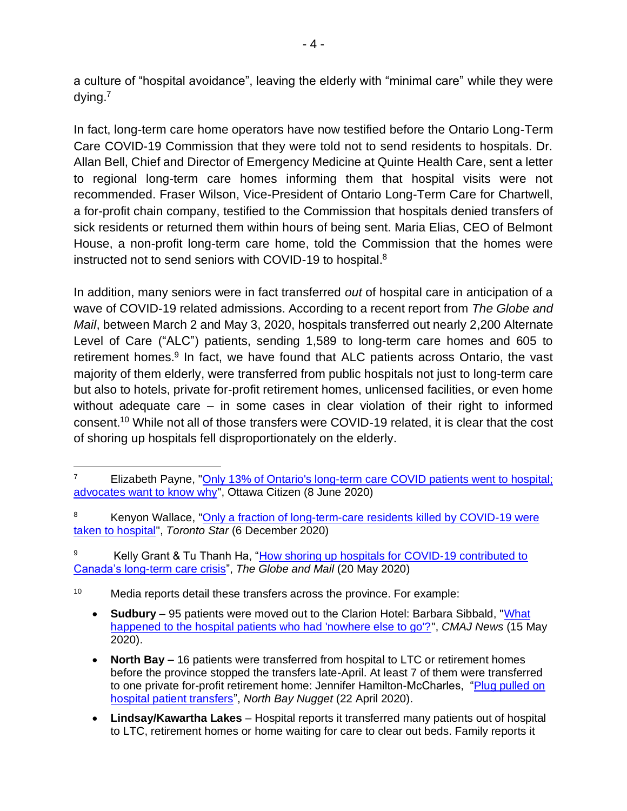a culture of "hospital avoidance", leaving the elderly with "minimal care" while they were dying.<sup>7</sup>

In fact, long-term care home operators have now testified before the Ontario Long-Term Care COVID-19 Commission that they were told not to send residents to hospitals. Dr. Allan Bell, Chief and Director of Emergency Medicine at Quinte Health Care, sent a letter to regional long-term care homes informing them that hospital visits were not recommended. Fraser Wilson, Vice-President of Ontario Long-Term Care for Chartwell, a for-profit chain company, testified to the Commission that hospitals denied transfers of sick residents or returned them within hours of being sent. Maria Elias, CEO of Belmont House, a non-profit long-term care home, told the Commission that the homes were instructed not to send seniors with COVID-19 to hospital.<sup>8</sup>

In addition, many seniors were in fact transferred *out* of hospital care in anticipation of a wave of COVID-19 related admissions. According to a recent report from *The Globe and Mail*, between March 2 and May 3, 2020, hospitals transferred out nearly 2,200 Alternate Level of Care ("ALC") patients, sending 1,589 to long-term care homes and 605 to retirement homes.<sup>9</sup> In fact, we have found that ALC patients across Ontario, the vast majority of them elderly, were transferred from public hospitals not just to long-term care but also to hotels, private for-profit retirement homes, unlicensed facilities, or even home without adequate care – in some cases in clear violation of their right to informed consent.<sup>10</sup> While not all of those transfers were COVID-19 related, it is clear that the cost of shoring up hospitals fell disproportionately on the elderly.

Kelly Grant & Tu Thanh Ha, "How shoring up hospitals for COVID-19 contributed to [Canada's long-term care crisis"](file:///C:/Users/aweaver/Desktop/Client%20Work/OCHU/Kelly%20Grant%20&%20Tu%20Thanh%20Ha,), *The Globe and Mail* (20 May 2020)

<sup>10</sup> Media reports detail these transfers across the province. For example:

- **Sudbury** 95 patients were moved out to the Clarion Hotel: Barbara Sibbald, ["What](https://cmajnews.com/2020/05/15/covid-alc-1095873/)  [happened to the hospital patients who had 'nowhere else to go'?"](https://cmajnews.com/2020/05/15/covid-alc-1095873/), *CMAJ News* (15 May 2020).
- **North Bay –** 16 patients were transferred from hospital to LTC or retirement homes before the province stopped the transfers late-April. At least 7 of them were transferred to one private for-profit retirement home: Jennifer Hamilton-McCharles, "Plug pulled on [hospital patient transfers"](https://www.nugget.ca/news/local-news/plug-pulled-on-hospital-patient-transfers), *North Bay Nugget* (22 April 2020).
- **Lindsay/Kawartha Lakes** Hospital reports it transferred many patients out of hospital to LTC, retirement homes or home waiting for care to clear out beds. Family reports it

<sup>&</sup>lt;sup>7</sup> Elizabeth Payne, "Only 13% of Ontario's long-term care COVID patients went to hospital; [advocates want to know why"](https://ottawacitizen.com/news/local-news/only-13-of-ontarios-long-term-care-covid-patients-went-to-hospital-advocates-want-to-know-why), Ottawa Citizen (8 June 2020)

Kenyon Wallace, "Only a fraction of long-term-care residents killed by COVID-19 were [taken to hospital"](https://www.thestar.com/news/gta/2020/12/06/only-a-fraction-of-long-term-care-residents-killed-by-covid-19-were-taken-to-hospital-a-mount-sinai-doctor-says-the-system-shut-them-out-with-beds-available.html?fbclid=IwAR0_8lkT2e6_sCmJAK0SBY__JI2miHhmAyCpR1mq7fTl4IYpxP3JLS0PmU0), *Toronto Star* (6 December 2020)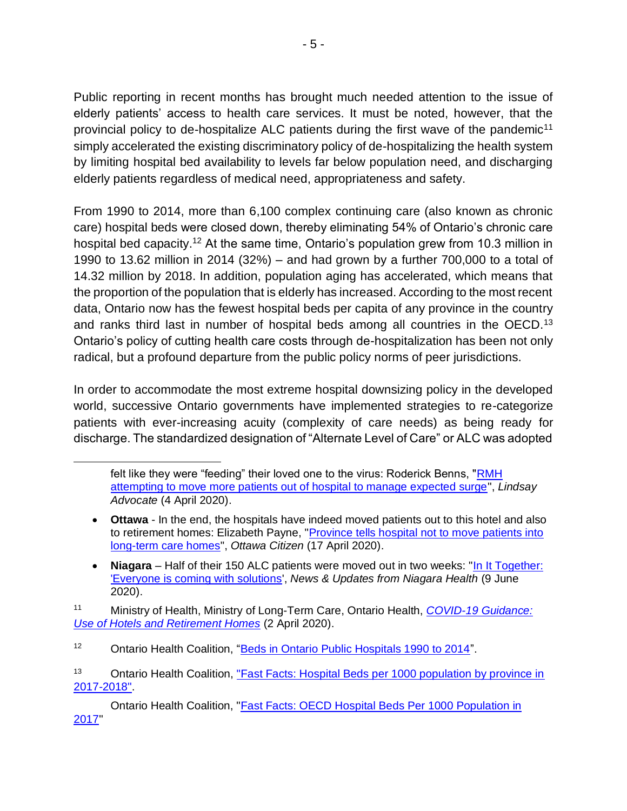Public reporting in recent months has brought much needed attention to the issue of elderly patients' access to health care services. It must be noted, however, that the provincial policy to de-hospitalize ALC patients during the first wave of the pandemic<sup>11</sup> simply accelerated the existing discriminatory policy of de-hospitalizing the health system by limiting hospital bed availability to levels far below population need, and discharging elderly patients regardless of medical need, appropriateness and safety.

From 1990 to 2014, more than 6,100 complex continuing care (also known as chronic care) hospital beds were closed down, thereby eliminating 54% of Ontario's chronic care hospital bed capacity.<sup>12</sup> At the same time, Ontario's population grew from 10.3 million in 1990 to 13.62 million in 2014 (32%) – and had grown by a further 700,000 to a total of 14.32 million by 2018. In addition, population aging has accelerated, which means that the proportion of the population that is elderly has increased. According to the most recent data, Ontario now has the fewest hospital beds per capita of any province in the country and ranks third last in number of hospital beds among all countries in the OECD.<sup>13</sup> Ontario's policy of cutting health care costs through de-hospitalization has been not only radical, but a profound departure from the public policy norms of peer jurisdictions.

In order to accommodate the most extreme hospital downsizing policy in the developed world, successive Ontario governments have implemented strategies to re-categorize patients with ever-increasing acuity (complexity of care needs) as being ready for discharge. The standardized designation of "Alternate Level of Care" or ALC was adopted

felt like they were "feeding" their loved one to the virus: Roderick Benns, ["RMH](https://lindsayadvocate.ca/rmh-attempting-to-move-more-patients-out-of-hospital-to-manage-expected-surge/)  [attempting to move more patients out of hospital to manage expected surge"](https://lindsayadvocate.ca/rmh-attempting-to-move-more-patients-out-of-hospital-to-manage-expected-surge/), *Lindsay Advocate* (4 April 2020).

<sup>•</sup> **Ottawa** - In the end, the hospitals have indeed moved patients out to this hotel and also to retirement homes: Elizabeth Payne, ["Province tells hospital not to move patients into](https://ottawacitizen.com/news/local-news/province-tells-hospitals-not-to-move-patients-into-long-term-care-homes#:~:text=The%20Ontario%20government%20has%20told,surge%20of%20COVID%2D19%20patients.) [long-term care homes"](https://ottawacitizen.com/news/local-news/province-tells-hospitals-not-to-move-patients-into-long-term-care-homes#:~:text=The%20Ontario%20government%20has%20told,surge%20of%20COVID%2D19%20patients.), *Ottawa Citizen* (17 April 2020).

<sup>•</sup> **Niagara** – Half of their 150 ALC patients were moved out in two weeks: ["In It Together:](https://www.niagarahealth.on.ca/site/news/2020/06/09/in-it-together-everyone-is-coming-with-solutions)  ['Everyone is coming with solutions'](https://www.niagarahealth.on.ca/site/news/2020/06/09/in-it-together-everyone-is-coming-with-solutions), *News & Updates from Niagara Health* (9 June 2020).

<sup>11</sup> Ministry of Health, Ministry of Long-Term Care, Ontario Health, *[COVID-19 Guidance:](https://www.ontariomidwives.ca/sites/default/files/2020%2004%2001%20Guidance%20Document%20on%20Use%20of%20Hotels%20and%20Retirement%20Homes.pdf)  [Use of Hotels and Retirement Homes](https://www.ontariomidwives.ca/sites/default/files/2020%2004%2001%20Guidance%20Document%20on%20Use%20of%20Hotels%20and%20Retirement%20Homes.pdf)* (2 April 2020).

<sup>12</sup> Ontario Health Coalition, ["Beds in Ontario Public Hospitals 1990 to 2014"](http://www.ontariohealthcoalition.ca/wp-content/uploads/hospital-beds-staffed-and-in-operation-ontario-1990-to-2014.pdf).

<sup>13</sup> Ontario Health Coalition, "Fast Facts: Hospital Beds per 1000 population by province in [2017-2018".](https://www.ontariohealthcoalition.ca/wp-content/uploads/Hospital-Beds-per-1000-population-by-Province-in-2017-2018.pdf)

Ontario Health Coalition, ["Fast Facts: OECD Hospital Beds Per 1000 Population in](https://www.ontariohealthcoalition.ca/wp-content/uploads/OECD-Hospital-Beds-Per-1000-Population-in-2017.pdf)  [2017"](https://www.ontariohealthcoalition.ca/wp-content/uploads/OECD-Hospital-Beds-Per-1000-Population-in-2017.pdf)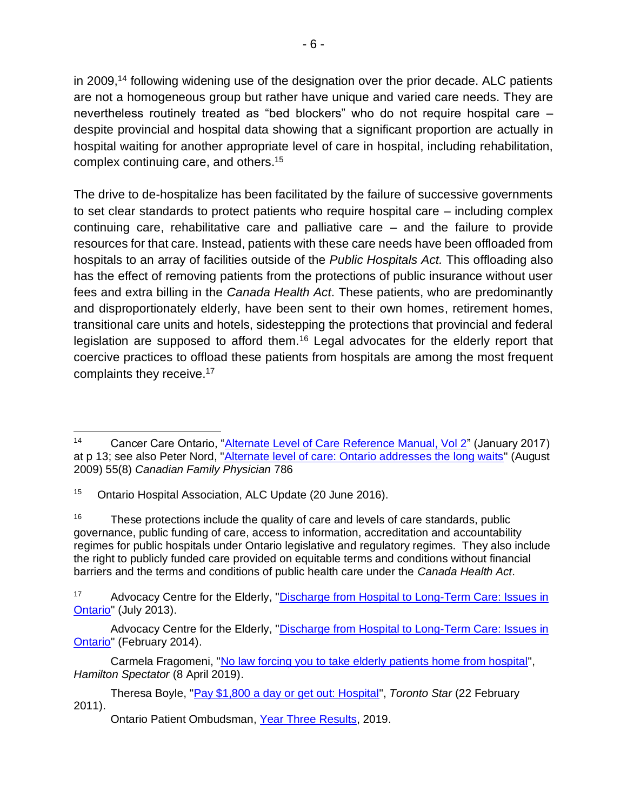in 2009,<sup>14</sup> following widening use of the designation over the prior decade. ALC patients are not a homogeneous group but rather have unique and varied care needs. They are nevertheless routinely treated as "bed blockers" who do not require hospital care – despite provincial and hospital data showing that a significant proportion are actually in hospital waiting for another appropriate level of care in hospital, including rehabilitation, complex continuing care, and others. 15

The drive to de-hospitalize has been facilitated by the failure of successive governments to set clear standards to protect patients who require hospital care – including complex continuing care, rehabilitative care and palliative care – and the failure to provide resources for that care. Instead, patients with these care needs have been offloaded from hospitals to an array of facilities outside of the *Public Hospitals Act.* This offloading also has the effect of removing patients from the protections of public insurance without user fees and extra billing in the *Canada Health Act*. These patients, who are predominantly and disproportionately elderly, have been sent to their own homes, retirement homes, transitional care units and hotels, sidestepping the protections that provincial and federal legislation are supposed to afford them.<sup>16</sup> Legal advocates for the elderly report that coercive practices to offload these patients from hospitals are among the most frequent complaints they receive.<sup>17</sup>

 $16$  These protections include the quality of care and levels of care standards, public governance, public funding of care, access to information, accreditation and accountability regimes for public hospitals under Ontario legislative and regulatory regimes. They also include the right to publicly funded care provided on equitable terms and conditions without financial barriers and the terms and conditions of public health care under the *Canada Health Act*.

<sup>17</sup> Advocacy Centre for the Elderly, "Discharge from Hospital to Long-Term Care: Issues in [Ontario"](http://www.acelaw.ca/appimages/file/Discharge_from_Hospital_to_LTC-July2013.pdf) (July 2013).

Advocacy Centre for the Elderly, "Discharge from Hospital to Long-Term Care: Issues in [Ontario"](http://acelaw.ca/appimages/file/Discharge_from_Hospital_to_LTC%2520February%25202014-1.pdf) (February 2014).

Carmela Fragomeni, ["No law forcing you to take elderly patients home from hospital"](https://www.thespec.com/news/hamilton-region/2019/04/08/no-law-forcing-you-to-take-elderly-patients-home-from-hospital.html), *Hamilton Spectator* (8 April 2019).

Theresa Boyle, ["Pay \\$1,800 a day or get out: Hospital"](https://www.thestar.com/news/gta/2011/02/22/pay_1800_a_day_or_get_out_hospital_1.html), *Toronto Star* (22 February 2011).

Ontario Patient Ombudsman, [Year Three Results,](https://www.patientombudsman.ca/year-three/) 2019.

<sup>&</sup>lt;sup>14</sup> Cancer Care Ontario, ["Alternate Level of Care Reference Manual, Vol 2"](https://ext.cancercare.on.ca/ext/databook/db1819/documents/Appendix/ALC_Reference_Manual_v2.pdf) (January 2017) at p 13; see also Peter Nord, ["Alternate level of care: Ontario addresses the long waits"](https://www.ncbi.nlm.nih.gov/pmc/articles/PMC2726089/#:~:text=On%20July%201%2C%202009%2C%20all,applied%20consistently%20within%20their%20organizations.) (August 2009) 55(8) *Canadian Family Physician* 786

<sup>15</sup> Ontario Hospital Association, ALC Update (20 June 2016).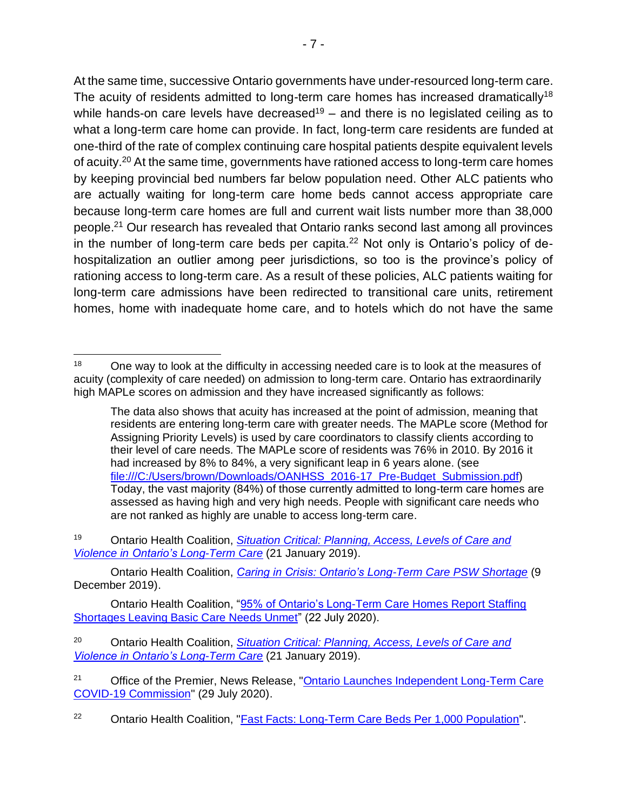At the same time, successive Ontario governments have under-resourced long-term care. The acuity of residents admitted to long-term care homes has increased dramatically<sup>18</sup> while hands-on care levels have decreased<sup>19</sup> – and there is no legislated ceiling as to what a long-term care home can provide. In fact, long-term care residents are funded at one-third of the rate of complex continuing care hospital patients despite equivalent levels of acuity.<sup>20</sup> At the same time, governments have rationed access to long-term care homes by keeping provincial bed numbers far below population need. Other ALC patients who are actually waiting for long-term care home beds cannot access appropriate care because long-term care homes are full and current wait lists number more than 38,000 people.<sup>21</sup> Our research has revealed that Ontario ranks second last among all provinces in the number of long-term care beds per capita. $22$  Not only is Ontario's policy of dehospitalization an outlier among peer jurisdictions, so too is the province's policy of rationing access to long-term care. As a result of these policies, ALC patients waiting for long-term care admissions have been redirected to transitional care units, retirement homes, home with inadequate home care, and to hotels which do not have the same

19 Ontario Health Coalition, *[Situation Critical: Planning, Access, Levels of Care and](http://www.ontariohealthcoalition.ca/wp-content/uploads/FINAL-LTC-REPORT.pdf)  [Violence in Ontario's Long-Term Care](http://www.ontariohealthcoalition.ca/wp-content/uploads/FINAL-LTC-REPORT.pdf)* (21 January 2019).

Ontario Health Coalition, *[Caring in Crisis: Ontario's Long-Term Care PSW Shortage](https://www.ontariohealthcoalition.ca/wp-content/uploads/final-PSW-report.pdf)* (9 December 2019).

Ontario Health Coalition, ["95% of Ontario's Long-Term Care Homes Report Staffing](https://www.ontariohealthcoalition.ca/index.php/release-report-95-of-ontario-long-term-care-staff-report-staffing-shortages-leaving-basic-care-needs-unmet-health-coalition-releases-staffing-survey-calling-for-ford-government-to-take-action/)  [Shortages Leaving Basic Care Needs Unmet"](https://www.ontariohealthcoalition.ca/index.php/release-report-95-of-ontario-long-term-care-staff-report-staffing-shortages-leaving-basic-care-needs-unmet-health-coalition-releases-staffing-survey-calling-for-ford-government-to-take-action/) (22 July 2020).

<sup>20</sup> Ontario Health Coalition, *[Situation Critical: Planning, Access, Levels of Care and](http://www.ontariohealthcoalition.ca/wp-content/uploads/FINAL-LTC-REPORT.pdf)  [Violence in Ontario's Long-Term Care](http://www.ontariohealthcoalition.ca/wp-content/uploads/FINAL-LTC-REPORT.pdf)* (21 January 2019).

<sup>21</sup> Office of the Premier, News Release, "Ontario Launches Independent Long-Term Care [COVID-19 Commission"](https://news.ontario.ca/en/release/57815/ontario-launches-independent-long-term-care-covid-19-commission) (29 July 2020).

<sup>22</sup> Ontario Health Coalition, ["Fast Facts: Long-Term Care Beds Per 1,000 Population"](https://www.ontariohealthcoalition.ca/wp-content/uploads/Long-Term-Care-Beds-Per-1000-Population.pdf).

 $18$  One way to look at the difficulty in accessing needed care is to look at the measures of acuity (complexity of care needed) on admission to long-term care. Ontario has extraordinarily high MAPLe scores on admission and they have increased significantly as follows:

The data also shows that acuity has increased at the point of admission, meaning that residents are entering long-term care with greater needs. The MAPLe score (Method for Assigning Priority Levels) is used by care coordinators to classify clients according to their level of care needs. The MAPLe score of residents was 76% in 2010. By 2016 it had increased by 8% to 84%, a very significant leap in 6 years alone. (see [file:///C:/Users/brown/Downloads/OANHSS\\_2016-17\\_Pre-Budget\\_Submission.pdf\)](file:///C:/Users/brown/Downloads/OANHSS_2016-17_Pre-Budget_Submission.pdf) Today, the vast majority (84%) of those currently admitted to long-term care homes are assessed as having high and very high needs. People with significant care needs who are not ranked as highly are unable to access long-term care.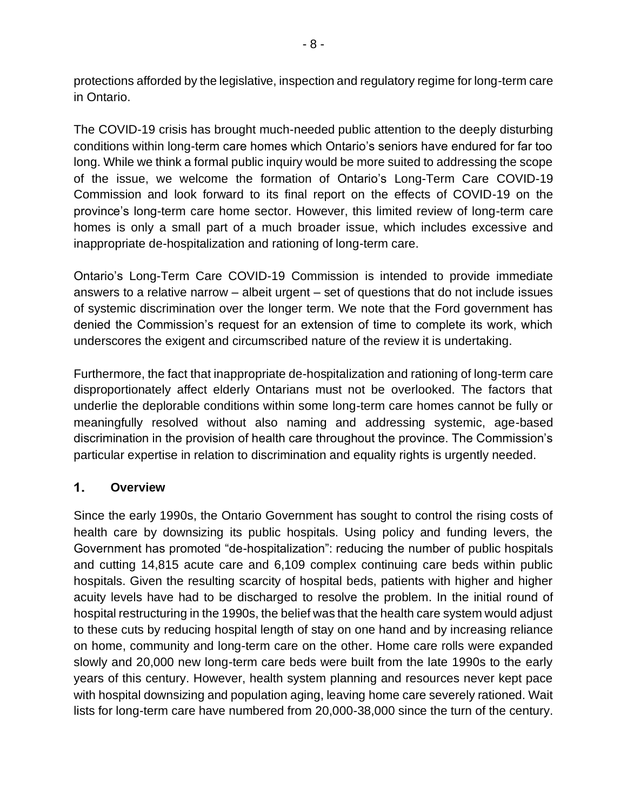protections afforded by the legislative, inspection and regulatory regime for long-term care in Ontario.

The COVID-19 crisis has brought much-needed public attention to the deeply disturbing conditions within long-term care homes which Ontario's seniors have endured for far too long. While we think a formal public inquiry would be more suited to addressing the scope of the issue, we welcome the formation of Ontario's Long-Term Care COVID-19 Commission and look forward to its final report on the effects of COVID-19 on the province's long-term care home sector. However, this limited review of long-term care homes is only a small part of a much broader issue, which includes excessive and inappropriate de-hospitalization and rationing of long-term care.

Ontario's Long-Term Care COVID-19 Commission is intended to provide immediate answers to a relative narrow – albeit urgent – set of questions that do not include issues of systemic discrimination over the longer term. We note that the Ford government has denied the Commission's request for an extension of time to complete its work, which underscores the exigent and circumscribed nature of the review it is undertaking.

Furthermore, the fact that inappropriate de-hospitalization and rationing of long-term care disproportionately affect elderly Ontarians must not be overlooked. The factors that underlie the deplorable conditions within some long-term care homes cannot be fully or meaningfully resolved without also naming and addressing systemic, age-based discrimination in the provision of health care throughout the province. The Commission's particular expertise in relation to discrimination and equality rights is urgently needed.

### $1<sub>1</sub>$ **Overview**

Since the early 1990s, the Ontario Government has sought to control the rising costs of health care by downsizing its public hospitals. Using policy and funding levers, the Government has promoted "de-hospitalization": reducing the number of public hospitals and cutting 14,815 acute care and 6,109 complex continuing care beds within public hospitals. Given the resulting scarcity of hospital beds, patients with higher and higher acuity levels have had to be discharged to resolve the problem. In the initial round of hospital restructuring in the 1990s, the belief was that the health care system would adjust to these cuts by reducing hospital length of stay on one hand and by increasing reliance on home, community and long-term care on the other. Home care rolls were expanded slowly and 20,000 new long-term care beds were built from the late 1990s to the early years of this century. However, health system planning and resources never kept pace with hospital downsizing and population aging, leaving home care severely rationed. Wait lists for long-term care have numbered from 20,000-38,000 since the turn of the century.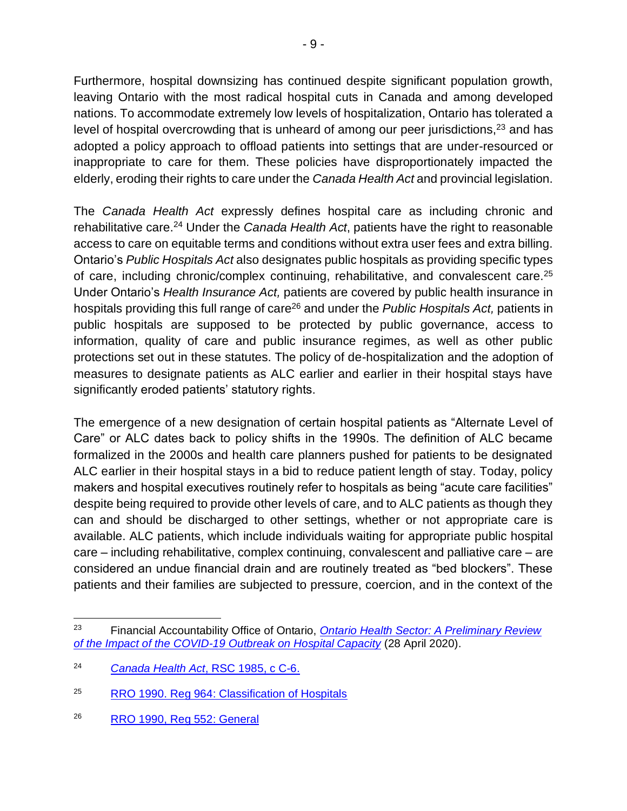Furthermore, hospital downsizing has continued despite significant population growth, leaving Ontario with the most radical hospital cuts in Canada and among developed nations. To accommodate extremely low levels of hospitalization, Ontario has tolerated a level of hospital overcrowding that is unheard of among our peer jurisdictions, $^{23}$  and has adopted a policy approach to offload patients into settings that are under-resourced or inappropriate to care for them. These policies have disproportionately impacted the elderly, eroding their rights to care under the *Canada Health Act* and provincial legislation.

The *Canada Health Act* expressly defines hospital care as including chronic and rehabilitative care.<sup>24</sup> Under the *Canada Health Act*, patients have the right to reasonable access to care on equitable terms and conditions without extra user fees and extra billing. Ontario's *Public Hospitals Act* also designates public hospitals as providing specific types of care, including chronic/complex continuing, rehabilitative, and convalescent care.<sup>25</sup> Under Ontario's *Health Insurance Act,* patients are covered by public health insurance in hospitals providing this full range of care<sup>26</sup> and under the *Public Hospitals Act,* patients in public hospitals are supposed to be protected by public governance, access to information, quality of care and public insurance regimes, as well as other public protections set out in these statutes. The policy of de-hospitalization and the adoption of measures to designate patients as ALC earlier and earlier in their hospital stays have significantly eroded patients' statutory rights.

The emergence of a new designation of certain hospital patients as "Alternate Level of Care" or ALC dates back to policy shifts in the 1990s. The definition of ALC became formalized in the 2000s and health care planners pushed for patients to be designated ALC earlier in their hospital stays in a bid to reduce patient length of stay. Today, policy makers and hospital executives routinely refer to hospitals as being "acute care facilities" despite being required to provide other levels of care, and to ALC patients as though they can and should be discharged to other settings, whether or not appropriate care is available. ALC patients, which include individuals waiting for appropriate public hospital care – including rehabilitative, complex continuing, convalescent and palliative care – are considered an undue financial drain and are routinely treated as "bed blockers". These patients and their families are subjected to pressure, coercion, and in the context of the

<sup>23</sup> Financial Accountability Office of Ontario, *[Ontario Health Sector: A Preliminary Review](https://www.fao-on.org/en/Blog/Publications/health-2020)  [of the Impact of the COVID-19 Outbreak on Hospital Capacity](https://www.fao-on.org/en/Blog/Publications/health-2020)* (28 April 2020).

<sup>24</sup> *[Canada Health Act](https://laws-lois.justice.gc.ca/eng/acts/c-6/page-1.html)*, RSC 1985, c C-6.

<sup>25</sup> [RRO 1990. Reg 964: Classification of Hospitals](https://www.ontario.ca/laws/regulation/900964)

<sup>26</sup> [RRO 1990, Reg 552: General](https://www.ontario.ca/laws/regulation/900552#BK6)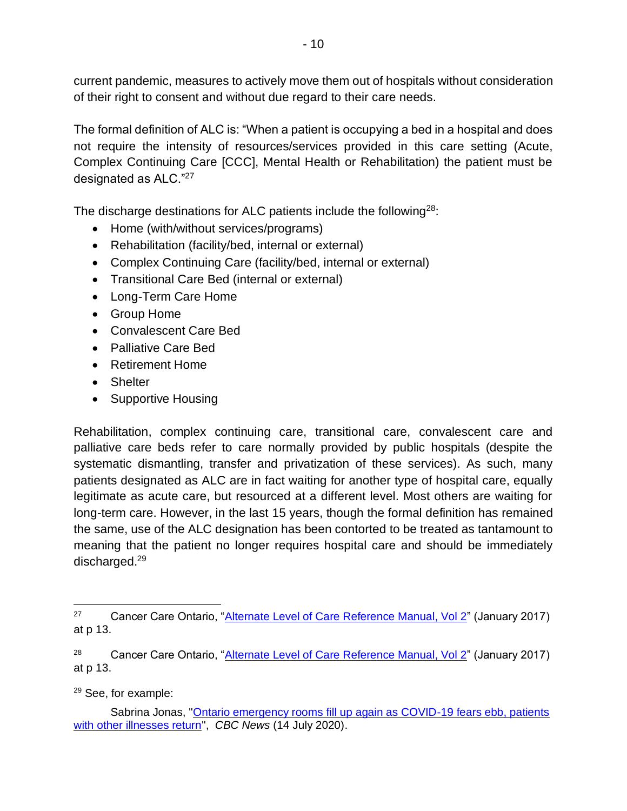current pandemic, measures to actively move them out of hospitals without consideration of their right to consent and without due regard to their care needs.

The formal definition of ALC is: "When a patient is occupying a bed in a hospital and does not require the intensity of resources/services provided in this care setting (Acute, Complex Continuing Care [CCC], Mental Health or Rehabilitation) the patient must be designated as ALC."<sup>27</sup>

The discharge destinations for ALC patients include the following<sup>28</sup>:

- Home (with/without services/programs)
- Rehabilitation (facility/bed, internal or external)
- Complex Continuing Care (facility/bed, internal or external)
- Transitional Care Bed (internal or external)
- Long-Term Care Home
- Group Home
- Convalescent Care Bed
- Palliative Care Bed
- Retirement Home
- Shelter
- Supportive Housing

Rehabilitation, complex continuing care, transitional care, convalescent care and palliative care beds refer to care normally provided by public hospitals (despite the systematic dismantling, transfer and privatization of these services). As such, many patients designated as ALC are in fact waiting for another type of hospital care, equally legitimate as acute care, but resourced at a different level. Most others are waiting for long-term care. However, in the last 15 years, though the formal definition has remained the same, use of the ALC designation has been contorted to be treated as tantamount to meaning that the patient no longer requires hospital care and should be immediately discharged.<sup>29</sup>

<sup>29</sup> See, for example:

<sup>&</sup>lt;sup>27</sup> Cancer Care Ontario, ["Alternate Level of Care Reference Manual, Vol 2"](https://ext.cancercare.on.ca/ext/databook/db1819/documents/Appendix/ALC_Reference_Manual_v2.pdf) (January 2017) at p 13.

<sup>&</sup>lt;sup>28</sup> Cancer Care Ontario, ["Alternate Level of Care Reference Manual, Vol 2"](https://ext.cancercare.on.ca/ext/databook/db1819/documents/Appendix/ALC_Reference_Manual_v2.pdf) (January 2017) at p 13.

Sabrina Jonas, ["Ontario emergency rooms fill up again as COVID-19 fears ebb, patients](https://www.cbc.ca/news/canada/toronto/ontario-emergency-rooms-filling-up-again-1.5647999)  [with other illnesses return"](https://www.cbc.ca/news/canada/toronto/ontario-emergency-rooms-filling-up-again-1.5647999), *CBC News* (14 July 2020).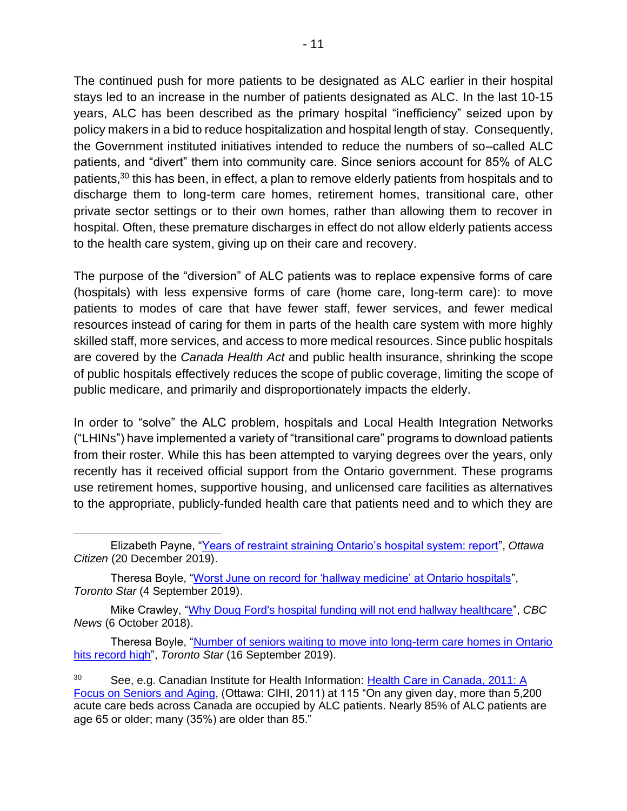The continued push for more patients to be designated as ALC earlier in their hospital stays led to an increase in the number of patients designated as ALC. In the last 10-15 years, ALC has been described as the primary hospital "inefficiency" seized upon by policy makers in a bid to reduce hospitalization and hospital length of stay. Consequently, the Government instituted initiatives intended to reduce the numbers of so–called ALC patients, and "divert" them into community care. Since seniors account for 85% of ALC patients,<sup>30</sup> this has been, in effect, a plan to remove elderly patients from hospitals and to discharge them to long-term care homes, retirement homes, transitional care, other private sector settings or to their own homes, rather than allowing them to recover in hospital. Often, these premature discharges in effect do not allow elderly patients access to the health care system, giving up on their care and recovery.

The purpose of the "diversion" of ALC patients was to replace expensive forms of care (hospitals) with less expensive forms of care (home care, long-term care): to move patients to modes of care that have fewer staff, fewer services, and fewer medical resources instead of caring for them in parts of the health care system with more highly skilled staff, more services, and access to more medical resources. Since public hospitals are covered by the *Canada Health Act* and public health insurance, shrinking the scope of public hospitals effectively reduces the scope of public coverage, limiting the scope of public medicare, and primarily and disproportionately impacts the elderly.

In order to "solve" the ALC problem, hospitals and Local Health Integration Networks ("LHINs") have implemented a variety of "transitional care" programs to download patients from their roster. While this has been attempted to varying degrees over the years, only recently has it received official support from the Ontario government. These programs use retirement homes, supportive housing, and unlicensed care facilities as alternatives to the appropriate, publicly-funded health care that patients need and to which they are

Theresa Boyle, ["Worst June on record for 'hallway medicine' at Ontario hospitals"](https://www.thestar.com/politics/provincial/2019/09/04/worst-june-on-record-for-hallway-medicine-at-ontario-hospitals.html), *Toronto Star* (4 September 2019).

Mike Crawley, ["Why Doug Ford's hospital funding will not end hallway healthcare"](https://www.cbc.ca/news/canada/toronto/doug-ford-hospital-beds-flu-season-hallway-medicine-1.4851945), *CBC News* (6 October 2018).

Theresa Boyle, "Number of seniors waiting to move into long-term care homes in Ontario [hits record high"](https://www.thestar.com/news/gta/2019/09/16/more-seniors-than-ever-waiting-for-long-term-care-beds-in-ontario.html), *Toronto Star* (16 September 2019).

Elizabeth Payne, ["Years of restraint straining Ontario's hospital system: report"](https://ottawacitizen.com/news/local-news/years-of-restraint-straining-ontarios-hospital-system-report), *Ottawa Citizen* (20 December 2019).

<sup>30</sup> See, e.g. Canadian Institute for Health Information: [Health Care in Canada, 2011: A](file:///C:/Users/brown/Documents/Ontario%20Health%20Coalition/2020%20anti%20cuts%20campaign/human%20rights%20inquiry/letter%20to%20Commissioner/Health%20Care%20in%20Canada,%202011:%20A%20Focus%20on%20Seniors%20and%20Aging)  [Focus on Seniors and Aging,](file:///C:/Users/brown/Documents/Ontario%20Health%20Coalition/2020%20anti%20cuts%20campaign/human%20rights%20inquiry/letter%20to%20Commissioner/Health%20Care%20in%20Canada,%202011:%20A%20Focus%20on%20Seniors%20and%20Aging) (Ottawa: CIHI, 2011) at 115 "On any given day, more than 5,200 acute care beds across Canada are occupied by ALC patients. Nearly 85% of ALC patients are age 65 or older; many (35%) are older than 85."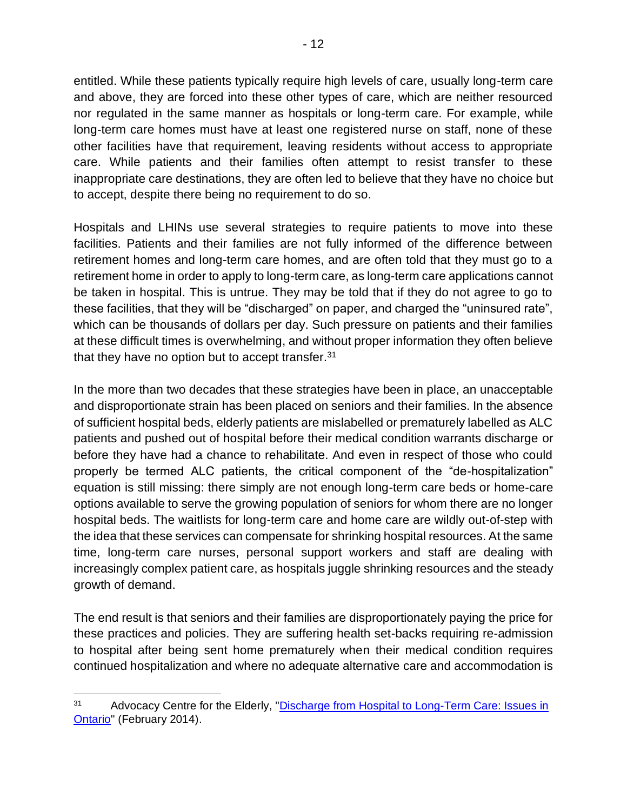entitled. While these patients typically require high levels of care, usually long-term care and above, they are forced into these other types of care, which are neither resourced nor regulated in the same manner as hospitals or long-term care. For example, while long-term care homes must have at least one registered nurse on staff, none of these other facilities have that requirement, leaving residents without access to appropriate care. While patients and their families often attempt to resist transfer to these inappropriate care destinations, they are often led to believe that they have no choice but to accept, despite there being no requirement to do so.

Hospitals and LHINs use several strategies to require patients to move into these facilities. Patients and their families are not fully informed of the difference between retirement homes and long-term care homes, and are often told that they must go to a retirement home in order to apply to long-term care, as long-term care applications cannot be taken in hospital. This is untrue. They may be told that if they do not agree to go to these facilities, that they will be "discharged" on paper, and charged the "uninsured rate", which can be thousands of dollars per day. Such pressure on patients and their families at these difficult times is overwhelming, and without proper information they often believe that they have no option but to accept transfer.<sup>31</sup>

In the more than two decades that these strategies have been in place, an unacceptable and disproportionate strain has been placed on seniors and their families. In the absence of sufficient hospital beds, elderly patients are mislabelled or prematurely labelled as ALC patients and pushed out of hospital before their medical condition warrants discharge or before they have had a chance to rehabilitate. And even in respect of those who could properly be termed ALC patients, the critical component of the "de-hospitalization" equation is still missing: there simply are not enough long-term care beds or home-care options available to serve the growing population of seniors for whom there are no longer hospital beds. The waitlists for long-term care and home care are wildly out-of-step with the idea that these services can compensate for shrinking hospital resources. At the same time, long-term care nurses, personal support workers and staff are dealing with increasingly complex patient care, as hospitals juggle shrinking resources and the steady growth of demand.

The end result is that seniors and their families are disproportionately paying the price for these practices and policies. They are suffering health set-backs requiring re-admission to hospital after being sent home prematurely when their medical condition requires continued hospitalization and where no adequate alternative care and accommodation is

<sup>&</sup>lt;sup>31</sup> Advocacy Centre for the Elderly, "Discharge from Hospital to Long-Term Care: Issues in [Ontario"](http://acelaw.ca/appimages/file/Discharge_from_Hospital_to_LTC%2520February%25202014-1.pdf) (February 2014).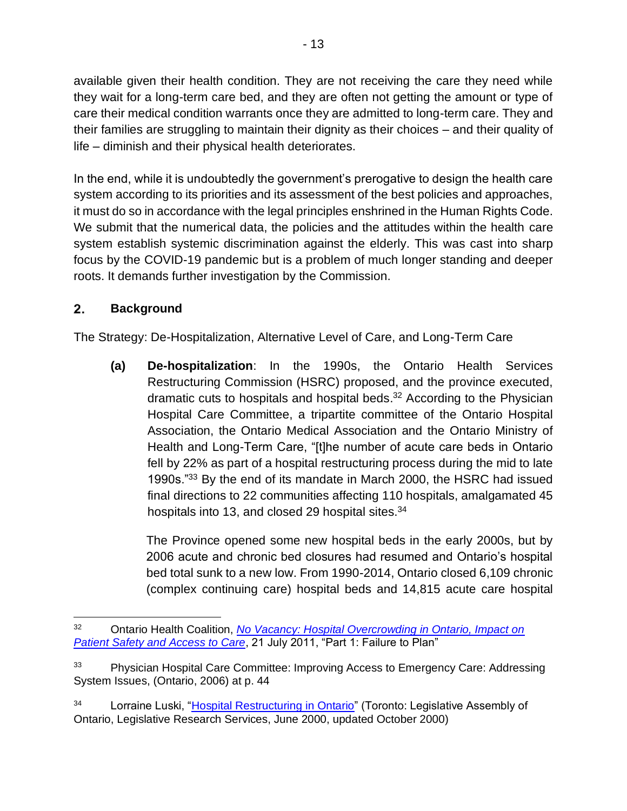available given their health condition. They are not receiving the care they need while they wait for a long-term care bed, and they are often not getting the amount or type of care their medical condition warrants once they are admitted to long-term care. They and their families are struggling to maintain their dignity as their choices – and their quality of life – diminish and their physical health deteriorates.

In the end, while it is undoubtedly the government's prerogative to design the health care system according to its priorities and its assessment of the best policies and approaches, it must do so in accordance with the legal principles enshrined in the Human Rights Code. We submit that the numerical data, the policies and the attitudes within the health care system establish systemic discrimination against the elderly. This was cast into sharp focus by the COVID-19 pandemic but is a problem of much longer standing and deeper roots. It demands further investigation by the Commission.

### $2.$ **Background**

The Strategy: De-Hospitalization, Alternative Level of Care, and Long-Term Care

**(a) De-hospitalization**: In the 1990s, the Ontario Health Services Restructuring Commission (HSRC) proposed, and the province executed, dramatic cuts to hospitals and hospital beds. <sup>32</sup> According to the Physician Hospital Care Committee, a tripartite committee of the Ontario Hospital Association, the Ontario Medical Association and the Ontario Ministry of Health and Long-Term Care, "[t]he number of acute care beds in Ontario fell by 22% as part of a hospital restructuring process during the mid to late 1990s."<sup>33</sup> By the end of its mandate in March 2000, the HSRC had issued final directions to 22 communities affecting 110 hospitals, amalgamated 45 hospitals into 13, and closed 29 hospital sites.<sup>34</sup>

The Province opened some new hospital beds in the early 2000s, but by 2006 acute and chronic bed closures had resumed and Ontario's hospital bed total sunk to a new low. From 1990-2014, Ontario closed 6,109 chronic (complex continuing care) hospital beds and 14,815 acute care hospital

<sup>32</sup> Ontario Health Coalition, *[No Vacancy: Hospital Overcrowding in Ontario, Impact on](http://www.ontariohealthcoalition.ca/wp-content/uploads/FULL-REPORT-July-21-2011.pdf)  [Patient Safety and Access to Care](http://www.ontariohealthcoalition.ca/wp-content/uploads/FULL-REPORT-July-21-2011.pdf)*, 21 July 2011, "Part 1: Failure to Plan"

<sup>&</sup>lt;sup>33</sup> Physician Hospital Care Committee: Improving Access to Emergency Care: Addressing System Issues, (Ontario, 2006) at p. 44

<sup>&</sup>lt;sup>34</sup> Lorraine Luski, ["Hospital Restructuring in Ontario"](https://collections.ola.org/mon/2000/10294163.htm) (Toronto: Legislative Assembly of Ontario, Legislative Research Services, June 2000, updated October 2000)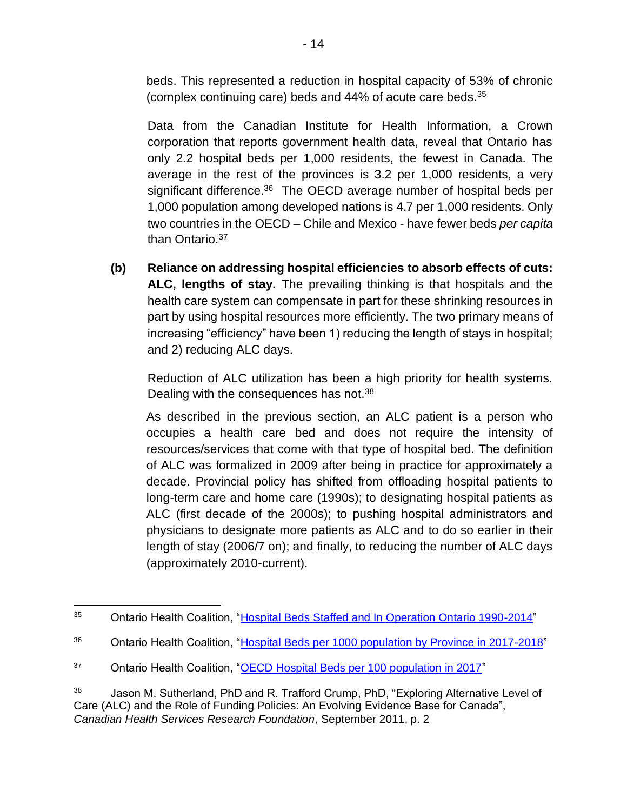beds. This represented a reduction in hospital capacity of 53% of chronic (complex continuing care) beds and 44% of acute care beds.<sup>35</sup>

Data from the Canadian Institute for Health Information, a Crown corporation that reports government health data, reveal that Ontario has only 2.2 hospital beds per 1,000 residents, the fewest in Canada. The average in the rest of the provinces is 3.2 per 1,000 residents, a very significant difference.<sup>36</sup> The OECD average number of hospital beds per 1,000 population among developed nations is 4.7 per 1,000 residents. Only two countries in the OECD – Chile and Mexico - have fewer beds *per capita* than Ontario.<sup>37</sup>

**(b) Reliance on addressing hospital efficiencies to absorb effects of cuts: ALC, lengths of stay.** The prevailing thinking is that hospitals and the health care system can compensate in part for these shrinking resources in part by using hospital resources more efficiently. The two primary means of increasing "efficiency" have been 1) reducing the length of stays in hospital; and 2) reducing ALC days.

Reduction of ALC utilization has been a high priority for health systems. Dealing with the consequences has not.<sup>38</sup>

As described in the previous section, an ALC patient is a person who occupies a health care bed and does not require the intensity of resources/services that come with that type of hospital bed. The definition of ALC was formalized in 2009 after being in practice for approximately a decade. Provincial policy has shifted from offloading hospital patients to long-term care and home care (1990s); to designating hospital patients as ALC (first decade of the 2000s); to pushing hospital administrators and physicians to designate more patients as ALC and to do so earlier in their length of stay (2006/7 on); and finally, to reducing the number of ALC days (approximately 2010-current).

<sup>&</sup>lt;sup>35</sup> Ontario Health Coalition, ["Hospital Beds Staffed and In Operation Ontario 1990-2014"](http://www.ontariohealthcoalition.ca/wp-content/uploads/hospital-beds-staffed-and-in-operation-ontario-1990-to-2014.pdf)

<sup>&</sup>lt;sup>36</sup> Ontario Health Coalition, ["Hospital Beds per 1000 population by Province in 2017-2018"](https://www.ontariohealthcoalition.ca/wp-content/uploads/Hospital-Beds-per-1000-population-by-Province-in-2017-2018.pdf)

<sup>&</sup>lt;sup>37</sup> Ontario Health Coalition, ["OECD Hospital Beds per 100 population in 2017"](https://www.ontariohealthcoalition.ca/wp-content/uploads/OECD-Hospital-Beds-Per-1000-Population-in-2017.pdf)

<sup>38</sup> Jason M. Sutherland, PhD and R. Trafford Crump, PhD, "Exploring Alternative Level of Care (ALC) and the Role of Funding Policies: An Evolving Evidence Base for Canada", *Canadian Health Services Research Foundation*, September 2011, p. 2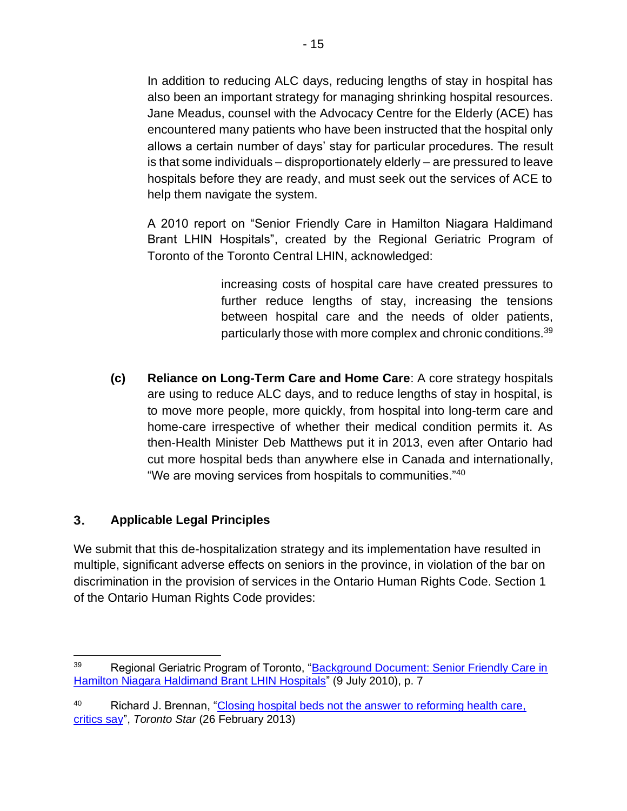In addition to reducing ALC days, reducing lengths of stay in hospital has also been an important strategy for managing shrinking hospital resources. Jane Meadus, counsel with the Advocacy Centre for the Elderly (ACE) has encountered many patients who have been instructed that the hospital only allows a certain number of days' stay for particular procedures. The result is that some individuals – disproportionately elderly – are pressured to leave hospitals before they are ready, and must seek out the services of ACE to help them navigate the system.

A 2010 report on "Senior Friendly Care in Hamilton Niagara Haldimand Brant LHIN Hospitals", created by the Regional Geriatric Program of Toronto of the Toronto Central LHIN, acknowledged:

> increasing costs of hospital care have created pressures to further reduce lengths of stay, increasing the tensions between hospital care and the needs of older patients, particularly those with more complex and chronic conditions.<sup>39</sup>

**(c) Reliance on Long-Term Care and Home Care**: A core strategy hospitals are using to reduce ALC days, and to reduce lengths of stay in hospital, is to move more people, more quickly, from hospital into long-term care and home-care irrespective of whether their medical condition permits it. As then-Health Minister Deb Matthews put it in 2013, even after Ontario had cut more hospital beds than anywhere else in Canada and internationally, "We are moving services from hospitals to communities."<sup>40</sup>

### 3. **Applicable Legal Principles**

We submit that this de-hospitalization strategy and its implementation have resulted in multiple, significant adverse effects on seniors in the province, in violation of the bar on discrimination in the provision of services in the Ontario Human Rights Code. Section 1 of the Ontario Human Rights Code provides:

<sup>39</sup> Regional Geriatric Program of Toronto, "Background Document: Senior Friendly Care in [Hamilton Niagara Haldimand Brant LHIN Hospitals"](http://www.hnhblhin.on.ca/goalsandachievements/integrationpopulationbased/olderadultstheirfamiliesandcaregivers/supportingseniorshealthandwellness/~/media/sites/hnhb/uploadedfiles/Public_Community/Health_Service_Providers/For_Hospitals/SFH%20Backgrounder.pdf) (9 July 2010), p. 7

<sup>40</sup> Richard J. Brennan, "Closing hospital beds not the answer to reforming health care, [critics say"](https://www.thestar.com/news/canada/2013/02/26/closing_hospital_beds_not_the_answer_to_reforming_health_care_critics_say.html), *Toronto Star* (26 February 2013)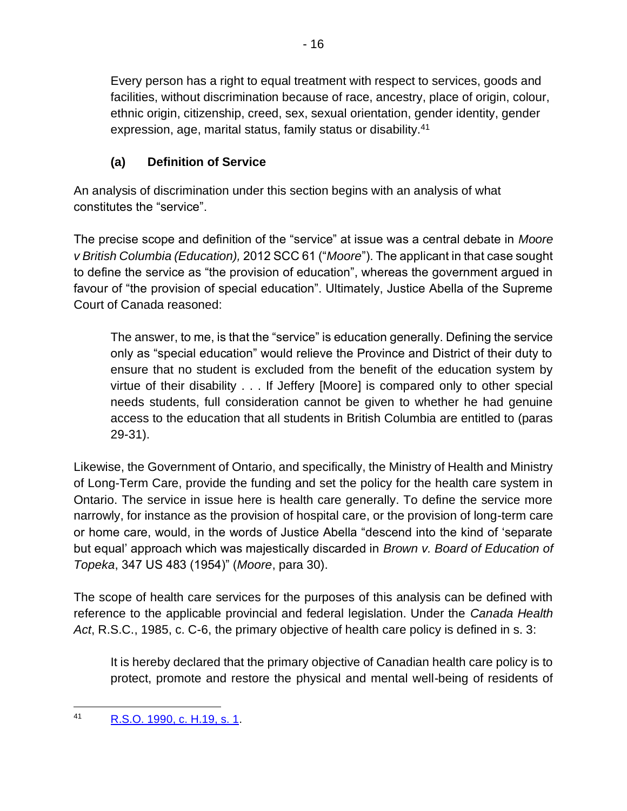Every person has a right to equal treatment with respect to services, goods and facilities, without discrimination because of race, ancestry, place of origin, colour, ethnic origin, citizenship, creed, sex, sexual orientation, gender identity, gender expression, age, marital status, family status or disability.<sup>41</sup>

# **(a) Definition of Service**

An analysis of discrimination under this section begins with an analysis of what constitutes the "service".

The precise scope and definition of the "service" at issue was a central debate in *Moore v British Columbia (Education),* 2012 SCC 61 ("*Moore*"). The applicant in that case sought to define the service as "the provision of education", whereas the government argued in favour of "the provision of special education". Ultimately, Justice Abella of the Supreme Court of Canada reasoned:

The answer, to me, is that the "service" is education generally. Defining the service only as "special education" would relieve the Province and District of their duty to ensure that no student is excluded from the benefit of the education system by virtue of their disability . . . If Jeffery [Moore] is compared only to other special needs students, full consideration cannot be given to whether he had genuine access to the education that all students in British Columbia are entitled to (paras 29-31).

Likewise, the Government of Ontario, and specifically, the Ministry of Health and Ministry of Long-Term Care, provide the funding and set the policy for the health care system in Ontario. The service in issue here is health care generally. To define the service more narrowly, for instance as the provision of hospital care, or the provision of long-term care or home care, would, in the words of Justice Abella "descend into the kind of 'separate but equal' approach which was majestically discarded in *Brown v. Board of Education of Topeka*, 347 US 483 (1954)" (*Moore*, para 30).

The scope of health care services for the purposes of this analysis can be defined with reference to the applicable provincial and federal legislation. Under the *Canada Health Act*, R.S.C., 1985, c. C-6, the primary objective of health care policy is defined in s. 3:

It is hereby declared that the primary objective of Canadian health care policy is to protect, promote and restore the physical and mental well-being of residents of

<sup>41</sup> [R.S.O. 1990, c. H.19, s. 1.](https://www.ontario.ca/laws/statute/90h19)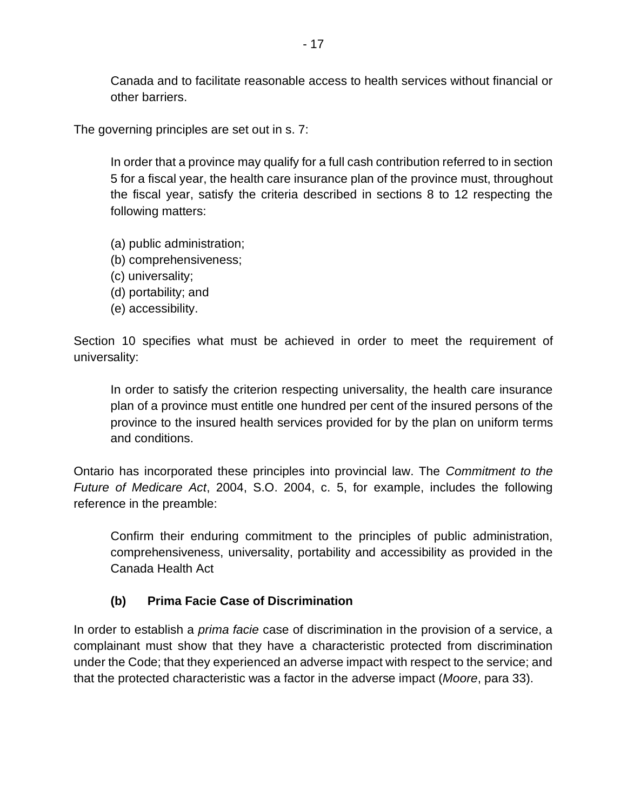Canada and to facilitate reasonable access to health services without financial or other barriers.

The governing principles are set out in s. 7:

In order that a province may qualify for a full cash contribution referred to in section 5 for a fiscal year, the health care insurance plan of the province must, throughout the fiscal year, satisfy the criteria described in sections 8 to 12 respecting the following matters:

(a) public administration;

- (b) comprehensiveness;
- (c) universality;
- (d) portability; and
- (e) accessibility.

Section 10 specifies what must be achieved in order to meet the requirement of universality:

In order to satisfy the criterion respecting universality, the health care insurance plan of a province must entitle one hundred per cent of the insured persons of the province to the insured health services provided for by the plan on uniform terms and conditions.

Ontario has incorporated these principles into provincial law. The *Commitment to the Future of Medicare Act*, 2004, S.O. 2004, c. 5, for example, includes the following reference in the preamble:

Confirm their enduring commitment to the principles of public administration, comprehensiveness, universality, portability and accessibility as provided in the Canada Health Act

# **(b) Prima Facie Case of Discrimination**

In order to establish a *prima facie* case of discrimination in the provision of a service, a complainant must show that they have a characteristic protected from discrimination under the Code; that they experienced an adverse impact with respect to the service; and that the protected characteristic was a factor in the adverse impact (*Moore*, para 33).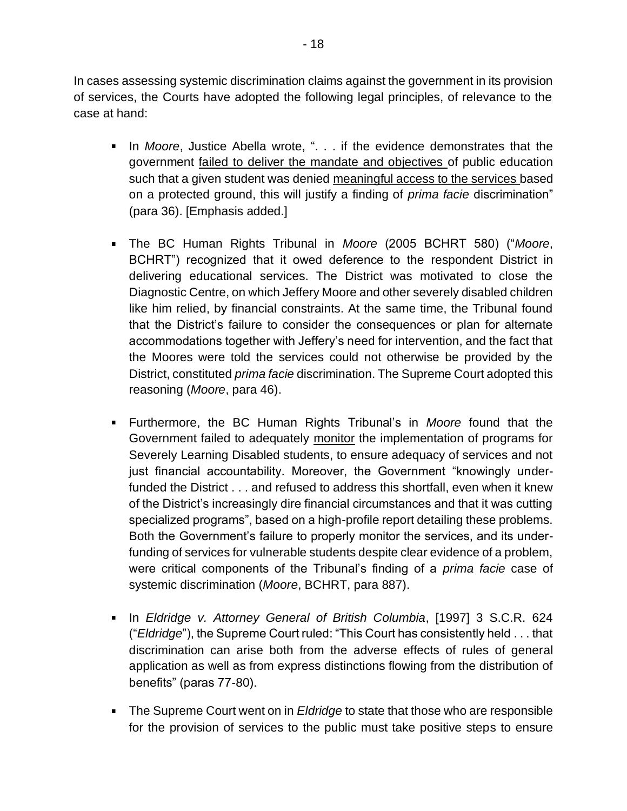In cases assessing systemic discrimination claims against the government in its provision of services, the Courts have adopted the following legal principles, of relevance to the case at hand:

- In *Moore*, Justice Abella wrote, ". . . if the evidence demonstrates that the government failed to deliver the mandate and objectives of public education such that a given student was denied meaningful access to the services based on a protected ground, this will justify a finding of *prima facie* discrimination" (para 36). [Emphasis added.]
- The BC Human Rights Tribunal in *Moore* (2005 BCHRT 580) ("*Moore*, BCHRT") recognized that it owed deference to the respondent District in delivering educational services. The District was motivated to close the Diagnostic Centre, on which Jeffery Moore and other severely disabled children like him relied, by financial constraints. At the same time, the Tribunal found that the District's failure to consider the consequences or plan for alternate accommodations together with Jeffery's need for intervention, and the fact that the Moores were told the services could not otherwise be provided by the District, constituted *prima facie* discrimination. The Supreme Court adopted this reasoning (*Moore*, para 46).
- Furthermore, the BC Human Rights Tribunal's in *Moore* found that the Government failed to adequately monitor the implementation of programs for Severely Learning Disabled students, to ensure adequacy of services and not just financial accountability. Moreover, the Government "knowingly underfunded the District . . . and refused to address this shortfall, even when it knew of the District's increasingly dire financial circumstances and that it was cutting specialized programs", based on a high-profile report detailing these problems. Both the Government's failure to properly monitor the services, and its underfunding of services for vulnerable students despite clear evidence of a problem, were critical components of the Tribunal's finding of a *prima facie* case of systemic discrimination (*Moore*, BCHRT, para 887).
- In *Eldridge v. Attorney General of British Columbia*, [1997] 3 S.C.R. 624 ("*Eldridge*"), the Supreme Court ruled: "This Court has consistently held . . . that discrimination can arise both from the adverse effects of rules of general application as well as from express distinctions flowing from the distribution of benefits" (paras 77-80).
- **The Supreme Court went on in** *Eldridge* to state that those who are responsible for the provision of services to the public must take positive steps to ensure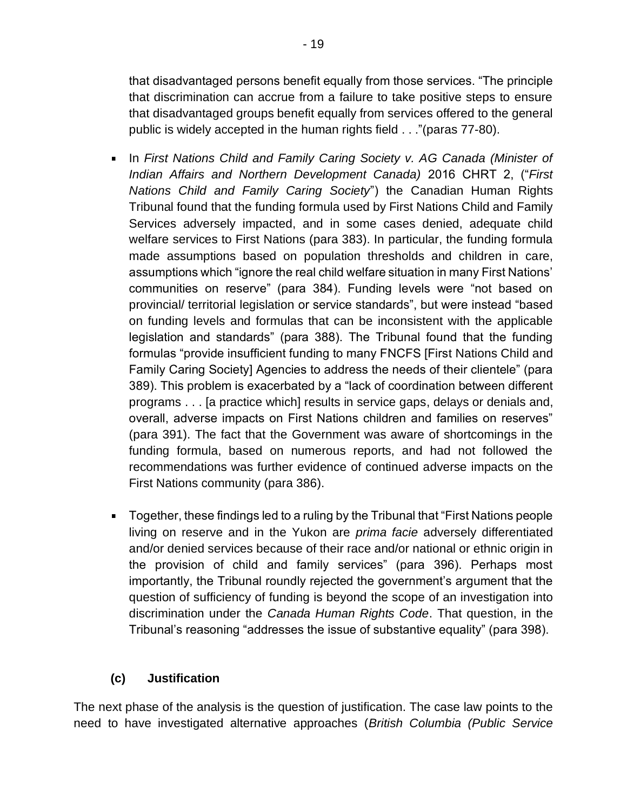that disadvantaged persons benefit equally from those services. "The principle that discrimination can accrue from a failure to take positive steps to ensure that disadvantaged groups benefit equally from services offered to the general public is widely accepted in the human rights field . . ."(paras 77-80).

- In First Nations Child and Family Caring Society v. AG Canada (Minister of *Indian Affairs and Northern Development Canada)* 2016 CHRT 2, ("*First Nations Child and Family Caring Society*") the Canadian Human Rights Tribunal found that the funding formula used by First Nations Child and Family Services adversely impacted, and in some cases denied, adequate child welfare services to First Nations (para 383). In particular, the funding formula made assumptions based on population thresholds and children in care, assumptions which "ignore the real child welfare situation in many First Nations' communities on reserve" (para 384). Funding levels were "not based on provincial/ territorial legislation or service standards", but were instead "based on funding levels and formulas that can be inconsistent with the applicable legislation and standards" (para 388). The Tribunal found that the funding formulas "provide insufficient funding to many FNCFS [First Nations Child and Family Caring Society] Agencies to address the needs of their clientele" (para 389). This problem is exacerbated by a "lack of coordination between different programs . . . [a practice which] results in service gaps, delays or denials and, overall, adverse impacts on First Nations children and families on reserves" (para 391). The fact that the Government was aware of shortcomings in the funding formula, based on numerous reports, and had not followed the recommendations was further evidence of continued adverse impacts on the First Nations community (para 386).
- Together, these findings led to a ruling by the Tribunal that "First Nations people living on reserve and in the Yukon are *prima facie* adversely differentiated and/or denied services because of their race and/or national or ethnic origin in the provision of child and family services" (para 396). Perhaps most importantly, the Tribunal roundly rejected the government's argument that the question of sufficiency of funding is beyond the scope of an investigation into discrimination under the *Canada Human Rights Code*. That question, in the Tribunal's reasoning "addresses the issue of substantive equality" (para 398).

## **(c) Justification**

The next phase of the analysis is the question of justification. The case law points to the need to have investigated alternative approaches (*British Columbia (Public Service*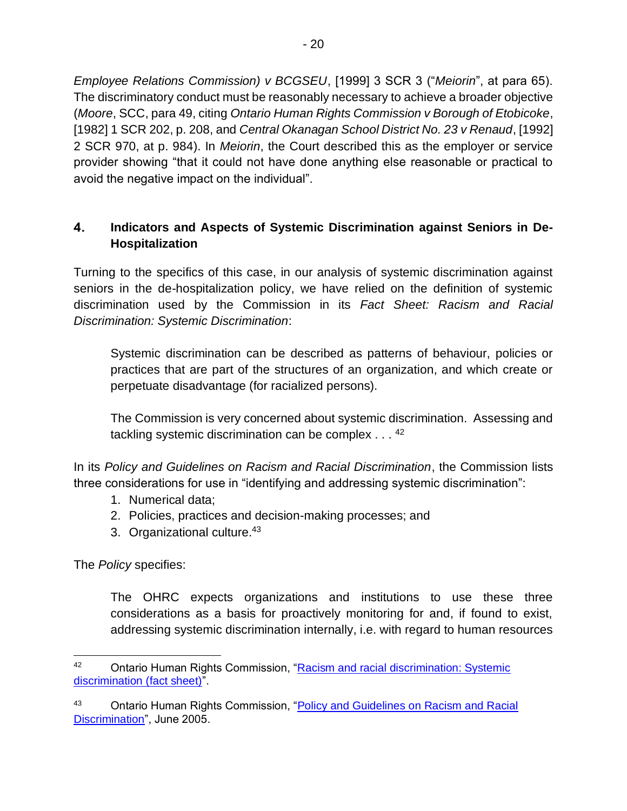*Employee Relations Commission) v BCGSEU*, [1999] 3 SCR 3 ("*Meiorin*", at para 65). The discriminatory conduct must be reasonably necessary to achieve a broader objective (*Moore*, SCC, para 49, citing *Ontario Human Rights Commission v Borough of Etobicoke*, [1982] 1 SCR 202, p. 208, and *Central Okanagan School District No. 23 v Renaud*, [1992] 2 SCR 970, at p. 984). In *Meiorin*, the Court described this as the employer or service provider showing "that it could not have done anything else reasonable or practical to avoid the negative impact on the individual".

## 4. **Indicators and Aspects of Systemic Discrimination against Seniors in De-Hospitalization**

Turning to the specifics of this case, in our analysis of systemic discrimination against seniors in the de-hospitalization policy, we have relied on the definition of systemic discrimination used by the Commission in its *Fact Sheet: Racism and Racial Discrimination: Systemic Discrimination*:

Systemic discrimination can be described as patterns of behaviour, policies or practices that are part of the structures of an organization, and which create or perpetuate disadvantage (for racialized persons).

The Commission is very concerned about systemic discrimination. Assessing and tackling systemic discrimination can be complex . . . <sup>42</sup>

In its *Policy and Guidelines on Racism and Racial Discrimination*, the Commission lists three considerations for use in "identifying and addressing systemic discrimination":

- 1. Numerical data;
- 2. Policies, practices and decision-making processes; and
- 3. Organizational culture.<sup>43</sup>

The *Policy* specifies:

The OHRC expects organizations and institutions to use these three considerations as a basis for proactively monitoring for and, if found to exist, addressing systemic discrimination internally, i.e. with regard to human resources

<sup>42</sup> Ontario Human Rights Commission, ["Racism and racial discrimination: Systemic](http://www.ohrc.on.ca/en/racism-and-racial-discrimination-systemic-discrimination-fact-sheet)  [discrimination \(fact sheet\)"](http://www.ohrc.on.ca/en/racism-and-racial-discrimination-systemic-discrimination-fact-sheet).

<sup>43</sup> Ontario Human Rights Commission, ["Policy and Guidelines on Racism and Racial](http://www3.ohrc.on.ca/sites/default/files/attachments/Policy_and_guidelines_on_racism_and_racial_discrimination.pdf)  [Discrimination"](http://www3.ohrc.on.ca/sites/default/files/attachments/Policy_and_guidelines_on_racism_and_racial_discrimination.pdf), June 2005.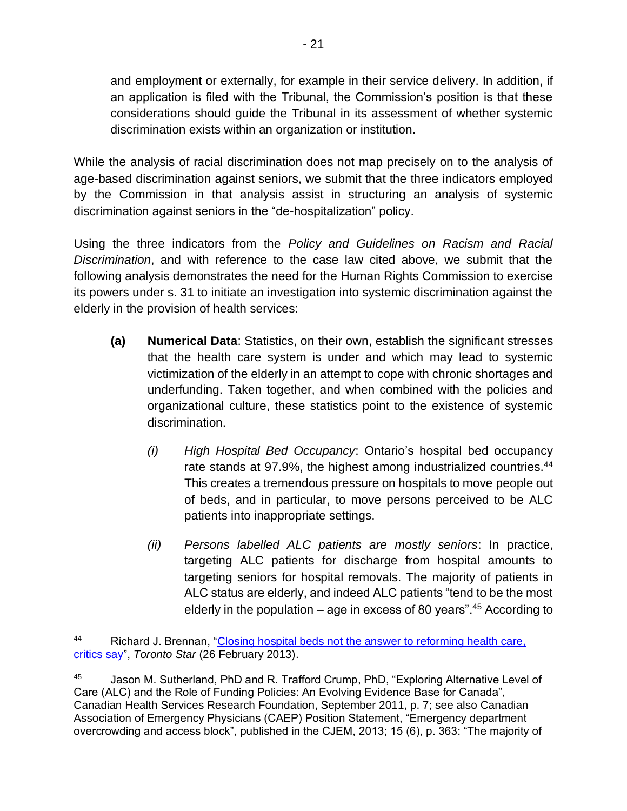and employment or externally, for example in their service delivery. In addition, if an application is filed with the Tribunal, the Commission's position is that these considerations should guide the Tribunal in its assessment of whether systemic discrimination exists within an organization or institution.

While the analysis of racial discrimination does not map precisely on to the analysis of age-based discrimination against seniors, we submit that the three indicators employed by the Commission in that analysis assist in structuring an analysis of systemic discrimination against seniors in the "de-hospitalization" policy.

Using the three indicators from the *Policy and Guidelines on Racism and Racial Discrimination*, and with reference to the case law cited above, we submit that the following analysis demonstrates the need for the Human Rights Commission to exercise its powers under s. 31 to initiate an investigation into systemic discrimination against the elderly in the provision of health services:

- **(a) Numerical Data**: Statistics, on their own, establish the significant stresses that the health care system is under and which may lead to systemic victimization of the elderly in an attempt to cope with chronic shortages and underfunding. Taken together, and when combined with the policies and organizational culture, these statistics point to the existence of systemic discrimination.
	- *(i) High Hospital Bed Occupancy*: Ontario's hospital bed occupancy rate stands at 97.9%, the highest among industrialized countries.<sup>44</sup> This creates a tremendous pressure on hospitals to move people out of beds, and in particular, to move persons perceived to be ALC patients into inappropriate settings.
	- *(ii) Persons labelled ALC patients are mostly seniors*: In practice, targeting ALC patients for discharge from hospital amounts to targeting seniors for hospital removals. The majority of patients in ALC status are elderly, and indeed ALC patients "tend to be the most elderly in the population – age in excess of 80 years".<sup>45</sup> According to

<sup>44</sup> Richard J. Brennan, "Closing hospital beds not the answer to reforming health care, [critics say"](https://www.thestar.com/news/canada/2013/02/26/closing_hospital_beds_not_the_answer_to_reforming_health_care_critics_say.html), *Toronto Star* (26 February 2013).

<sup>45</sup> Jason M. Sutherland, PhD and R. Trafford Crump, PhD, "Exploring Alternative Level of Care (ALC) and the Role of Funding Policies: An Evolving Evidence Base for Canada", Canadian Health Services Research Foundation, September 2011, p. 7; see also Canadian Association of Emergency Physicians (CAEP) Position Statement, "Emergency department overcrowding and access block", published in the CJEM, 2013; 15 (6), p. 363: "The majority of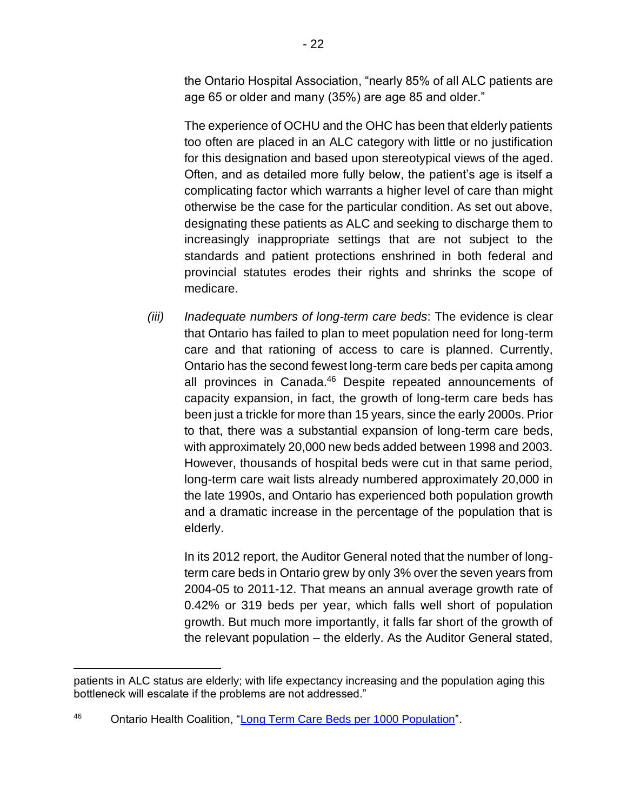the Ontario Hospital Association, "nearly 85% of all ALC patients are age 65 or older and many (35%) are age 85 and older."

The experience of OCHU and the OHC has been that elderly patients too often are placed in an ALC category with little or no justification for this designation and based upon stereotypical views of the aged. Often, and as detailed more fully below, the patient's age is itself a complicating factor which warrants a higher level of care than might otherwise be the case for the particular condition. As set out above, designating these patients as ALC and seeking to discharge them to increasingly inappropriate settings that are not subject to the standards and patient protections enshrined in both federal and provincial statutes erodes their rights and shrinks the scope of medicare.

*(iii) Inadequate numbers of long-term care beds*: The evidence is clear that Ontario has failed to plan to meet population need for long-term care and that rationing of access to care is planned. Currently, Ontario has the second fewest long-term care beds per capita among all provinces in Canada.<sup>46</sup> Despite repeated announcements of capacity expansion, in fact, the growth of long-term care beds has been just a trickle for more than 15 years, since the early 2000s. Prior to that, there was a substantial expansion of long-term care beds, with approximately 20,000 new beds added between 1998 and 2003. However, thousands of hospital beds were cut in that same period, long-term care wait lists already numbered approximately 20,000 in the late 1990s, and Ontario has experienced both population growth and a dramatic increase in the percentage of the population that is elderly.

In its 2012 report, the Auditor General noted that the number of longterm care beds in Ontario grew by only 3% over the seven years from 2004-05 to 2011-12. That means an annual average growth rate of 0.42% or 319 beds per year, which falls well short of population growth. But much more importantly, it falls far short of the growth of the relevant population – the elderly. As the Auditor General stated,

patients in ALC status are elderly; with life expectancy increasing and the population aging this bottleneck will escalate if the problems are not addressed."

<sup>46</sup> Ontario Health Coalition, ["Long Term Care Beds per 1000 Population"](https://www.ontariohealthcoalition.ca/wp-content/uploads/Long-Term-Care-Beds-Per-1000-Population.pdf).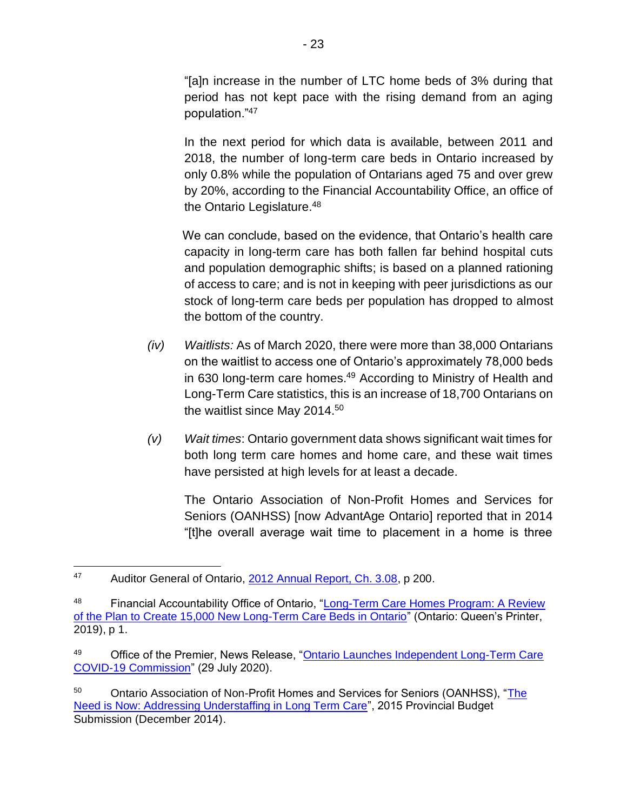"[a]n increase in the number of LTC home beds of 3% during that period has not kept pace with the rising demand from an aging population."<sup>47</sup>

In the next period for which data is available, between 2011 and 2018, the number of long-term care beds in Ontario increased by only 0.8% while the population of Ontarians aged 75 and over grew by 20%, according to the Financial Accountability Office, an office of the Ontario Legislature.<sup>48</sup>

We can conclude, based on the evidence, that Ontario's health care capacity in long-term care has both fallen far behind hospital cuts and population demographic shifts; is based on a planned rationing of access to care; and is not in keeping with peer jurisdictions as our stock of long-term care beds per population has dropped to almost the bottom of the country.

- *(iv) Waitlists:* As of March 2020, there were more than 38,000 Ontarians on the waitlist to access one of Ontario's approximately 78,000 beds in 630 long-term care homes.<sup>49</sup> According to Ministry of Health and Long-Term Care statistics, this is an increase of 18,700 Ontarians on the waitlist since May 2014.<sup>50</sup>
- *(v) Wait times*: Ontario government data shows significant wait times for both long term care homes and home care, and these wait times have persisted at high levels for at least a decade.

The Ontario Association of Non-Profit Homes and Services for Seniors (OANHSS) [now AdvantAge Ontario] reported that in 2014 "[t]he overall average wait time to placement in a home is three

<sup>&</sup>lt;sup>47</sup> Auditor General of Ontario, [2012 Annual Report, Ch. 3.08,](https://www.auditor.on.ca/en/content/annualreports/arreports/en12/308en12.pdf) p 200.

<sup>48</sup> Financial Accountability Office of Ontario, ["Long-Term Care Homes Program: A Review](https://www.fao-on.org/web/default/files/publications/FA1810%20Long-term%20Care%20Bed%20Expansion%20Analysis/Long-term-care-homes%20program.pdf)  [of the Plan to Create 15,000 New Long-Term Care Beds in Ontario"](https://www.fao-on.org/web/default/files/publications/FA1810%20Long-term%20Care%20Bed%20Expansion%20Analysis/Long-term-care-homes%20program.pdf) (Ontario: Queen's Printer, 2019), p 1.

<sup>49</sup> Office of the Premier, News Release, "Ontario Launches Independent Long-Term Care [COVID-19 Commission"](https://news.ontario.ca/opo/en/2020/07/ontario-launches-independent-long-term-care-covid-19-commission.html) (29 July 2020).

<sup>&</sup>lt;sup>50</sup> Ontario Association of Non-Profit Homes and Services for Seniors (OANHSS), "The [Need is Now: Addressing Understaffing in Long Term Care"](https://www.middlesex.ca/council/2015/january/27/C%207%20-%20CW%20Info%20-%20Jan%2027%20-%20OANHSS2015ProvincialBudgetSubmission.pdf), 2015 Provincial Budget Submission (December 2014).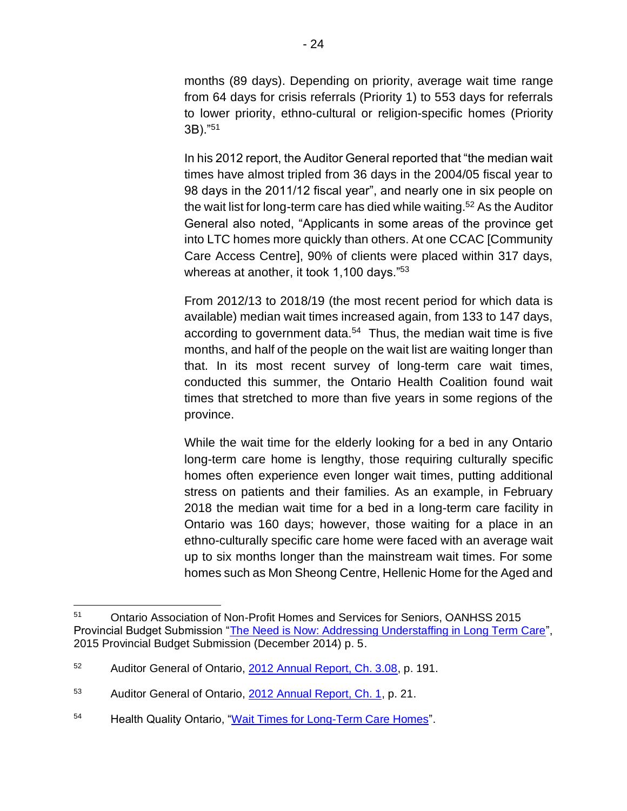months (89 days). Depending on priority, average wait time range from 64 days for crisis referrals (Priority 1) to 553 days for referrals to lower priority, ethno-cultural or religion-specific homes (Priority 3B)."<sup>51</sup>

In his 2012 report, the Auditor General reported that "the median wait times have almost tripled from 36 days in the 2004/05 fiscal year to 98 days in the 2011/12 fiscal year", and nearly one in six people on the wait list for long-term care has died while waiting.<sup>52</sup> As the Auditor General also noted, "Applicants in some areas of the province get into LTC homes more quickly than others. At one CCAC [Community Care Access Centre], 90% of clients were placed within 317 days, whereas at another, it took 1,100 days."<sup>53</sup>

From 2012/13 to 2018/19 (the most recent period for which data is available) median wait times increased again, from 133 to 147 days, according to government data.<sup>54</sup> Thus, the median wait time is five months, and half of the people on the wait list are waiting longer than that. In its most recent survey of long-term care wait times, conducted this summer, the Ontario Health Coalition found wait times that stretched to more than five years in some regions of the province.

While the wait time for the elderly looking for a bed in any Ontario long-term care home is lengthy, those requiring culturally specific homes often experience even longer wait times, putting additional stress on patients and their families. As an example, in February 2018 the median wait time for a bed in a long-term care facility in Ontario was 160 days; however, those waiting for a place in an ethno-culturally specific care home were faced with an average wait up to six months longer than the mainstream wait times. For some homes such as Mon Sheong Centre, Hellenic Home for the Aged and

<sup>51</sup> Ontario Association of Non-Profit Homes and Services for Seniors, OANHSS 2015 Provincial Budget Submission ["The Need is Now: Addressing Understaffing in Long Term Care"](https://www.middlesex.ca/council/2015/january/27/C%207%20-%20CW%20Info%20-%20Jan%2027%20-%20OANHSS2015ProvincialBudgetSubmission.pdf), 2015 Provincial Budget Submission (December 2014) p. 5.

<sup>52</sup> Auditor General of Ontario, [2012 Annual Report, Ch. 3.08,](http://www.auditor.on.ca/en/content/annualreports/arreports/en12/308en12.pdf) p. 191.

<sup>53</sup> Auditor General of Ontario, [2012 Annual Report, Ch. 1,](https://www.auditor.on.ca/en/content/annualreports/arreports/en12/100en12.pdf) p. 21.

<sup>&</sup>lt;sup>54</sup> Health Quality Ontario, ["Wait Times for Long-Term Care Homes"](https://www.hqontario.ca/System-Performance/Long-Term-Care-Home-Performance/Wait-Times).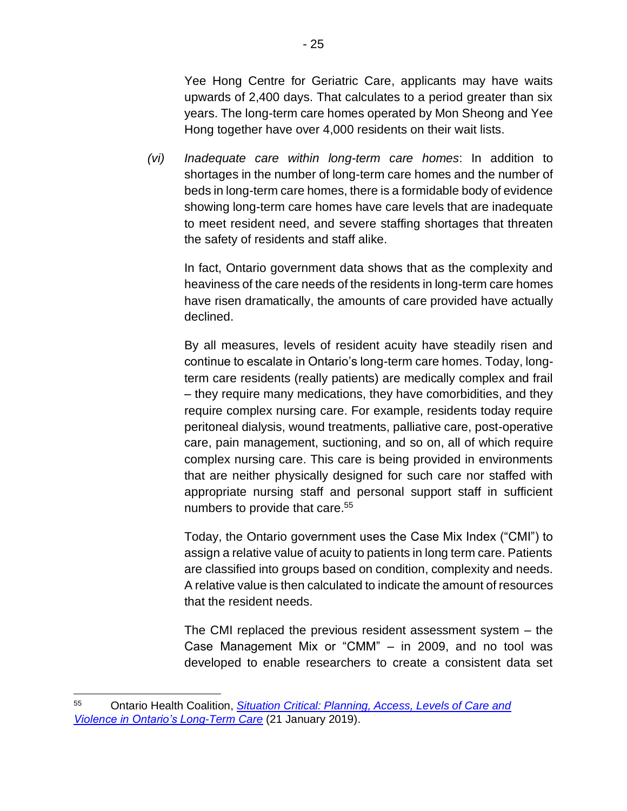Yee Hong Centre for Geriatric Care, applicants may have waits upwards of 2,400 days. That calculates to a period greater than six years. The long-term care homes operated by Mon Sheong and Yee Hong together have over 4,000 residents on their wait lists.

*(vi) Inadequate care within long-term care homes*: In addition to shortages in the number of long-term care homes and the number of beds in long-term care homes, there is a formidable body of evidence showing long-term care homes have care levels that are inadequate to meet resident need, and severe staffing shortages that threaten the safety of residents and staff alike.

In fact, Ontario government data shows that as the complexity and heaviness of the care needs of the residents in long-term care homes have risen dramatically, the amounts of care provided have actually declined.

By all measures, levels of resident acuity have steadily risen and continue to escalate in Ontario's long-term care homes. Today, longterm care residents (really patients) are medically complex and frail – they require many medications, they have comorbidities, and they require complex nursing care. For example, residents today require peritoneal dialysis, wound treatments, palliative care, post-operative care, pain management, suctioning, and so on, all of which require complex nursing care. This care is being provided in environments that are neither physically designed for such care nor staffed with appropriate nursing staff and personal support staff in sufficient numbers to provide that care.<sup>55</sup>

Today, the Ontario government uses the Case Mix Index ("CMI") to assign a relative value of acuity to patients in long term care. Patients are classified into groups based on condition, complexity and needs. A relative value is then calculated to indicate the amount of resources that the resident needs.

The CMI replaced the previous resident assessment system – the Case Management Mix or "CMM" – in 2009, and no tool was developed to enable researchers to create a consistent data set

<sup>55</sup> Ontario Health Coalition, *[Situation Critical: Planning, Access, Levels of Care and](http://www.ontariohealthcoalition.ca/wp-content/uploads/FINAL-LTC-REPORT.pdf)  [Violence in Ontario's Long-Term Care](http://www.ontariohealthcoalition.ca/wp-content/uploads/FINAL-LTC-REPORT.pdf)* (21 January 2019).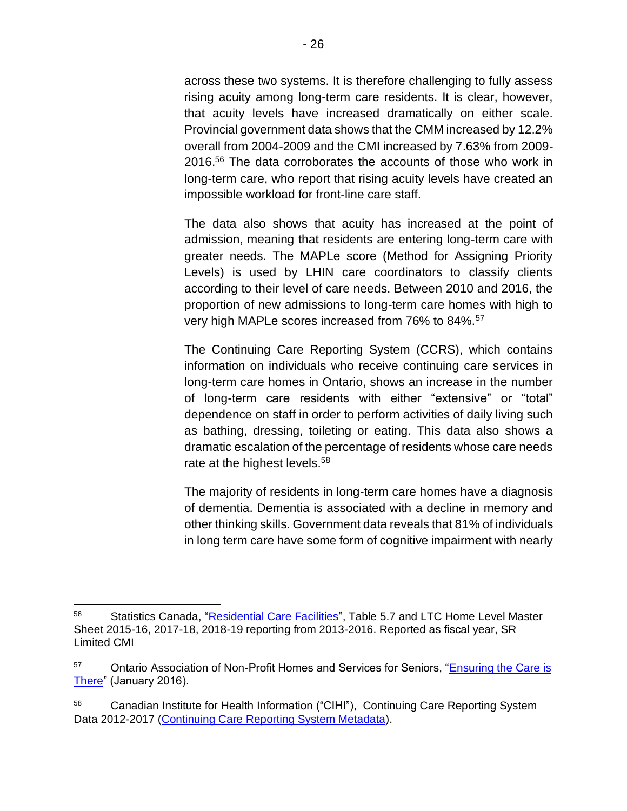across these two systems. It is therefore challenging to fully assess rising acuity among long-term care residents. It is clear, however, that acuity levels have increased dramatically on either scale. Provincial government data shows that the CMM increased by 12.2% overall from 2004-2009 and the CMI increased by 7.63% from 2009- 2016.<sup>56</sup> The data corroborates the accounts of those who work in long-term care, who report that rising acuity levels have created an impossible workload for front-line care staff.

The data also shows that acuity has increased at the point of admission, meaning that residents are entering long-term care with greater needs. The MAPLe score (Method for Assigning Priority Levels) is used by LHIN care coordinators to classify clients according to their level of care needs. Between 2010 and 2016, the proportion of new admissions to long-term care homes with high to very high MAPLe scores increased from 76% to 84%.<sup>57</sup>

The Continuing Care Reporting System (CCRS), which contains information on individuals who receive continuing care services in long-term care homes in Ontario, shows an increase in the number of long-term care residents with either "extensive" or "total" dependence on staff in order to perform activities of daily living such as bathing, dressing, toileting or eating. This data also shows a dramatic escalation of the percentage of residents whose care needs rate at the highest levels.<sup>58</sup>

The majority of residents in long-term care homes have a diagnosis of dementia. Dementia is associated with a decline in memory and other thinking skills. Government data reveals that 81% of individuals in long term care have some form of cognitive impairment with nearly

<sup>&</sup>lt;sup>56</sup> Statistics Canada, ["Residential Care Facilities"](https://www150.statcan.gc.ca/n1/en/pub/83-237-x/83-237-x2011001-eng.pdf?st=UWoPp81T), Table 5.7 and LTC Home Level Master Sheet 2015-16, 2017-18, 2018-19 reporting from 2013-2016. Reported as fiscal year, SR Limited CMI

<sup>&</sup>lt;sup>57</sup> Ontario Association of Non-Profit Homes and Services for Seniors, "Ensuring the Care is [There"](https://muskoka.civicweb.net/document/27441) (January 2016).

<sup>&</sup>lt;sup>58</sup> Canadian Institute for Health Information ("CIHI"), Continuing Care Reporting System Data 2012-2017 [\(Continuing Care Reporting System Metadata\)](https://www.cihi.ca/en/continuing-care-metadata).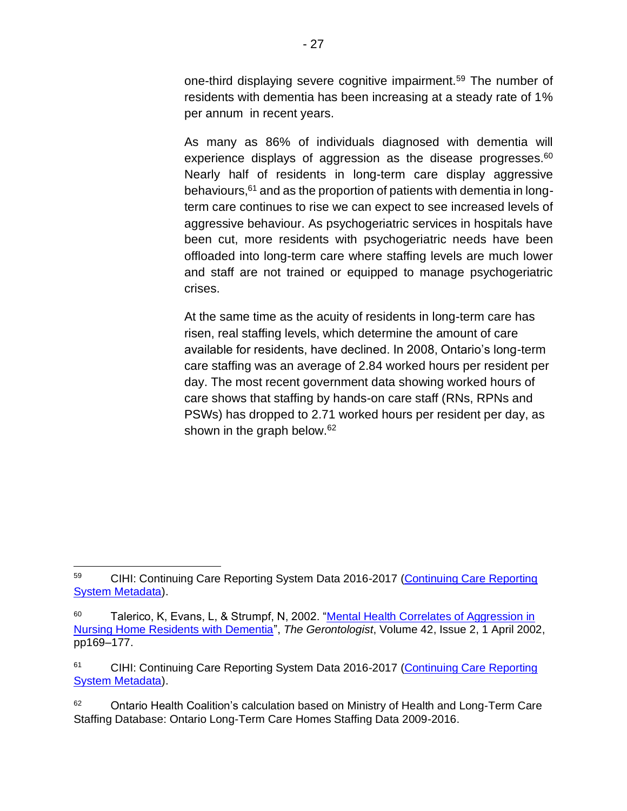one-third displaying severe cognitive impairment.<sup>59</sup> The number of residents with dementia has been increasing at a steady rate of 1% per annum in recent years.

As many as 86% of individuals diagnosed with dementia will experience displays of aggression as the disease progresses.<sup>60</sup> Nearly half of residents in long-term care display aggressive behaviours,<sup>61</sup> and as the proportion of patients with dementia in longterm care continues to rise we can expect to see increased levels of aggressive behaviour. As psychogeriatric services in hospitals have been cut, more residents with psychogeriatric needs have been offloaded into long-term care where staffing levels are much lower and staff are not trained or equipped to manage psychogeriatric crises.

At the same time as the acuity of residents in long-term care has risen, real staffing levels, which determine the amount of care available for residents, have declined. In 2008, Ontario's long-term care staffing was an average of 2.84 worked hours per resident per day. The most recent government data showing worked hours of care shows that staffing by hands-on care staff (RNs, RPNs and PSWs) has dropped to 2.71 worked hours per resident per day, as shown in the graph below.<sup>62</sup>

<sup>59</sup> CIHI: Continuing Care Reporting System Data 2016-2017 [\(Continuing Care Reporting](https://www.cihi.ca/en/continuing-care-metadata)  [System Metadata\)](https://www.cihi.ca/en/continuing-care-metadata).

<sup>&</sup>lt;sup>60</sup> Talerico, K, Evans, L, & Strumpf, N, 2002. "Mental Health Correlates of Aggression in [Nursing Home Residents with Dementia"](https://watermark.silverchair.com/000239.pdf?token=AQECAHi208BE49Ooan9kkhW_Ercy7Dm3ZL_9Cf3qfKAc485ysgAAArIwggKuBgkqhkiG9w0BBwagggKfMIICmwIBADCCApQGCSqGSIb3DQEHATAeBglghkgBZQMEAS4wEQQMopwTmfQFcuo4e31DAgEQgIICZVSSamNV6R4tltGO6uGjqascUrLYz7JLWhz_PW5cte7ouXF-vT7E-8TCqlcnbCWDoiGTlNZUvzHzXYao7BPQ6t7Z4OVXAmdq1sa0so62uOQ0nh9yJO4QO8ZZTYd9fUvlJL5KFr-7BggrGVpVKbLbQTqJPflGwkkCcLJCd8904Q6ONWMqL8NrCXa5urFSPWXmu3Lwr4lDxYdcxNawcW-ktdTImrmpJwMFMX7vgHu21gjjaQ_h0bHI59Fyz41f80bJunU8MrL2ZVwjuj7WHrY7HA-7oSkQ2sUrVf2XG4-VBttkvpKm9SdnMemjEMd7ybRntaoFPVUcW7lNf3J4m3Bqdj9gHx4kBNTyHpcYZk14Gap0Jmk8Jooh2JjV_wJzsBVy1no1Pe06eu3D7E_CxY6ZbDgxfj8689A_I3CmUxry1W-hFFiQpC4joRaGwdb5BSSK3OHZPz5OoOCsPeHFNWHpa8P3NjpjNDgwdhMRIg9fNcH7KjebAQBuxbWFWUmI0ADbsv_zh8YCrLMq4_kLL2zzpj7O3vhKiC2C8NDrKkV8T11TMgn4DLaYUYkul7HJc_TlfHUzCCphjt3wTkhfSK7z5RciBczm4f5F7m1UqAoAf48oRuSwZ9twWF2B3MwpdGGUk2tUGPM7A3JVjeKOoS18QDG-gTFYiv29URYPD63tgj0yX1EbqObYAv4oBFZXtivxd8RlKs9_M2fZezby-FV_I4IDS3YUgfbOAN4ZHJE8GKQgmfZRUmYo6o7YfEYUZnedc-eQCqyPeNJWY3yydG6CyJTBubYwvAg0qJ6RaP9TBrAB7lBWfOI), *The Gerontologist*, Volume 42, Issue 2, 1 April 2002, pp169–177.

<sup>&</sup>lt;sup>61</sup> CIHI: Continuing Care Reporting System Data 2016-2017 (Continuing Care Reporting [System Metadata\)](https://www.cihi.ca/en/continuing-care-metadata).

<sup>&</sup>lt;sup>62</sup> Ontario Health Coalition's calculation based on Ministry of Health and Long-Term Care Staffing Database: Ontario Long-Term Care Homes Staffing Data 2009-2016.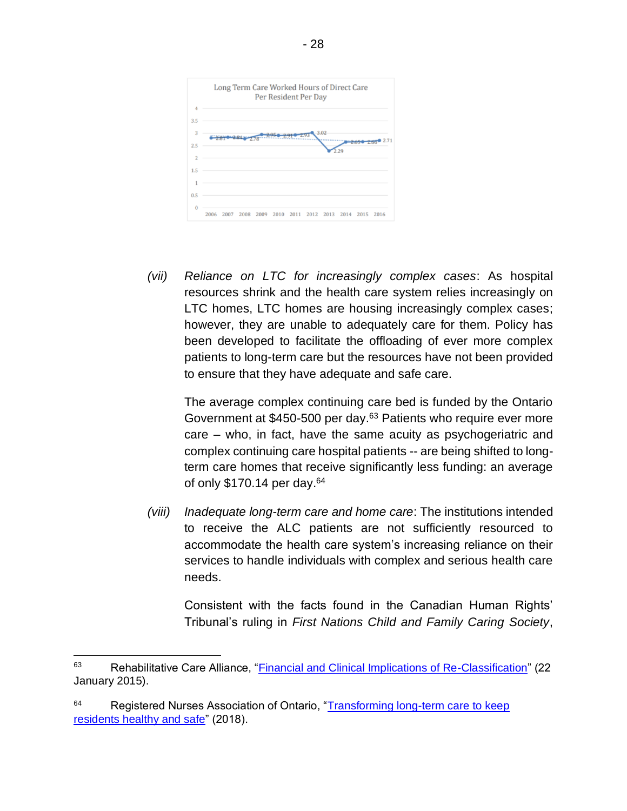

*(vii) Reliance on LTC for increasingly complex cases*: As hospital resources shrink and the health care system relies increasingly on LTC homes, LTC homes are housing increasingly complex cases; however, they are unable to adequately care for them. Policy has been developed to facilitate the offloading of ever more complex patients to long-term care but the resources have not been provided to ensure that they have adequate and safe care.

The average complex continuing care bed is funded by the Ontario Government at \$450-500 per day.<sup>63</sup> Patients who require ever more care – who, in fact, have the same acuity as psychogeriatric and complex continuing care hospital patients -- are being shifted to longterm care homes that receive significantly less funding: an average of only \$170.14 per day.<sup>64</sup>

*(viii) Inadequate long-term care and home care*: The institutions intended to receive the ALC patients are not sufficiently resourced to accommodate the health care system's increasing reliance on their services to handle individuals with complex and serious health care needs.

Consistent with the facts found in the Canadian Human Rights' Tribunal's ruling in *First Nations Child and Family Caring Society*,

<sup>63</sup> Rehabilitative Care Alliance, ["Financial and Clinical Implications of Re-Classification"](http://rehabcarealliance.ca/uploads/File/Toolbox/PCRC/Financial_and_Clinical_Considerations_for_Re-classification_FINAL_January_22_2015.pdf) (22 January 2015).

<sup>&</sup>lt;sup>64</sup> Registered Nurses Association of Ontario, "Transforming long-term care to keep [residents healthy and safe"](https://rnao.ca/sites/rnao-ca/files/Transforming_long-term_care_QPOR_2018_public.pdf) (2018).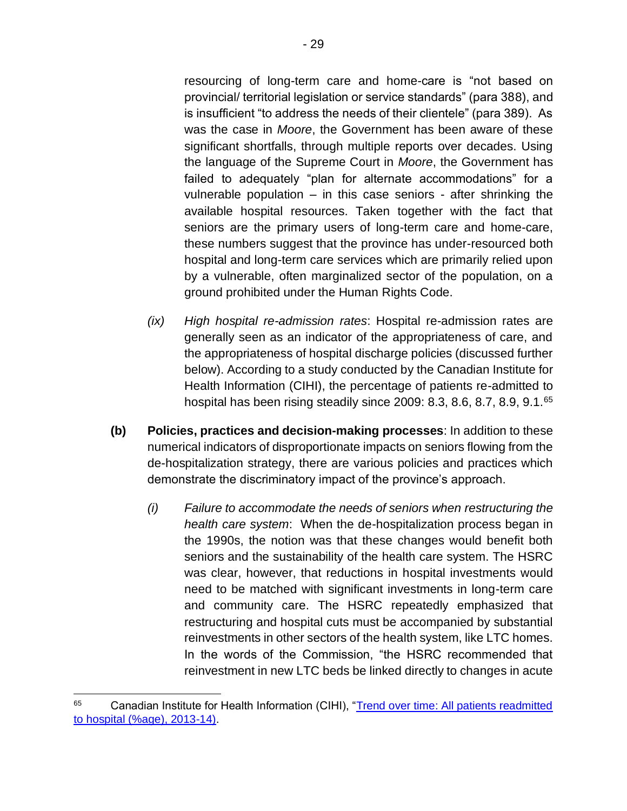resourcing of long-term care and home-care is "not based on provincial/ territorial legislation or service standards" (para 388), and is insufficient "to address the needs of their clientele" (para 389). As was the case in *Moore*, the Government has been aware of these significant shortfalls, through multiple reports over decades. Using the language of the Supreme Court in *Moore*, the Government has failed to adequately "plan for alternate accommodations" for a vulnerable population – in this case seniors - after shrinking the available hospital resources. Taken together with the fact that seniors are the primary users of long-term care and home-care, these numbers suggest that the province has under-resourced both hospital and long-term care services which are primarily relied upon by a vulnerable, often marginalized sector of the population, on a ground prohibited under the Human Rights Code.

- *(ix) High hospital re-admission rates*: Hospital re-admission rates are generally seen as an indicator of the appropriateness of care, and the appropriateness of hospital discharge policies (discussed further below). According to a study conducted by the Canadian Institute for Health Information (CIHI), the percentage of patients re-admitted to hospital has been rising steadily since 2009: 8.3, 8.6, 8.7, 8.9, 9.1.<sup>65</sup>
- **(b) Policies, practices and decision-making processes**: In addition to these numerical indicators of disproportionate impacts on seniors flowing from the de-hospitalization strategy, there are various policies and practices which demonstrate the discriminatory impact of the province's approach.
	- *(i) Failure to accommodate the needs of seniors when restructuring the health care system*: When the de-hospitalization process began in the 1990s, the notion was that these changes would benefit both seniors and the sustainability of the health care system. The HSRC was clear, however, that reductions in hospital investments would need to be matched with significant investments in long-term care and community care. The HSRC repeatedly emphasized that restructuring and hospital cuts must be accompanied by substantial reinvestments in other sectors of the health system, like LTC homes. In the words of the Commission, "the HSRC recommended that reinvestment in new LTC beds be linked directly to changes in acute

<sup>&</sup>lt;sup>65</sup> Canadian Institute for Health Information (CIHI), "Trend over time: All patients readmitted [to hospital \(%age\), 2013-14\).](https://infogram.com/trend-over-time-all-patients-readmitted-to-hospital-percentage)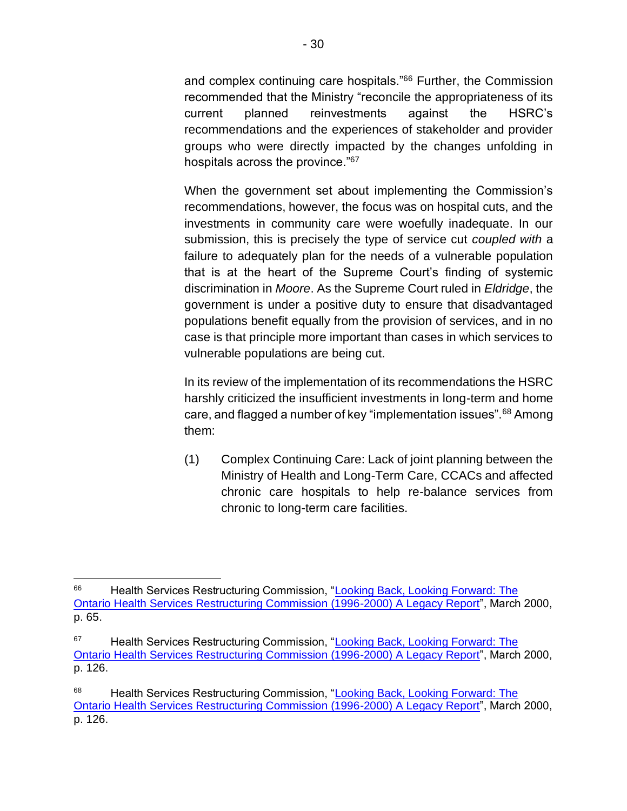and complex continuing care hospitals."<sup>66</sup> Further, the Commission recommended that the Ministry "reconcile the appropriateness of its current planned reinvestments against the HSRC's recommendations and the experiences of stakeholder and provider groups who were directly impacted by the changes unfolding in hospitals across the province."<sup>67</sup>

When the government set about implementing the Commission's recommendations, however, the focus was on hospital cuts, and the investments in community care were woefully inadequate. In our submission, this is precisely the type of service cut *coupled with* a failure to adequately plan for the needs of a vulnerable population that is at the heart of the Supreme Court's finding of systemic discrimination in *Moore*. As the Supreme Court ruled in *Eldridge*, the government is under a positive duty to ensure that disadvantaged populations benefit equally from the provision of services, and in no case is that principle more important than cases in which services to vulnerable populations are being cut.

In its review of the implementation of its recommendations the HSRC harshly criticized the insufficient investments in long-term and home care, and flagged a number of key "implementation issues".<sup>68</sup> Among them:

(1) Complex Continuing Care: Lack of joint planning between the Ministry of Health and Long-Term Care, CCACs and affected chronic care hospitals to help re-balance services from chronic to long-term care facilities.

<sup>66</sup> Health Services Restructuring Commission, ["Looking Back, Looking Forward: The](https://www.hhr-rhs.ca/en/?option=com_mtree&task=att_download&link_id=5214&cf_id=68)  [Ontario Health Services Restructuring Commission \(1996-2000\) A Legacy Report"](https://www.hhr-rhs.ca/en/?option=com_mtree&task=att_download&link_id=5214&cf_id=68), March 2000, p. 65.

<sup>&</sup>lt;sup>67</sup> Health Services Restructuring Commission, "Looking Back, Looking Forward: The [Ontario Health Services Restructuring Commission \(1996-2000\) A Legacy Report"](https://www.hhr-rhs.ca/en/?option=com_mtree&task=att_download&link_id=5214&cf_id=68), March 2000, p. 126.

<sup>68</sup> Health Services Restructuring Commission, ["Looking Back, Looking Forward: The](https://www.hhr-rhs.ca/en/?option=com_mtree&task=att_download&link_id=5214&cf_id=68)  [Ontario Health Services Restructuring Commission \(1996-2000\) A Legacy Report"](https://www.hhr-rhs.ca/en/?option=com_mtree&task=att_download&link_id=5214&cf_id=68), March 2000, p. 126.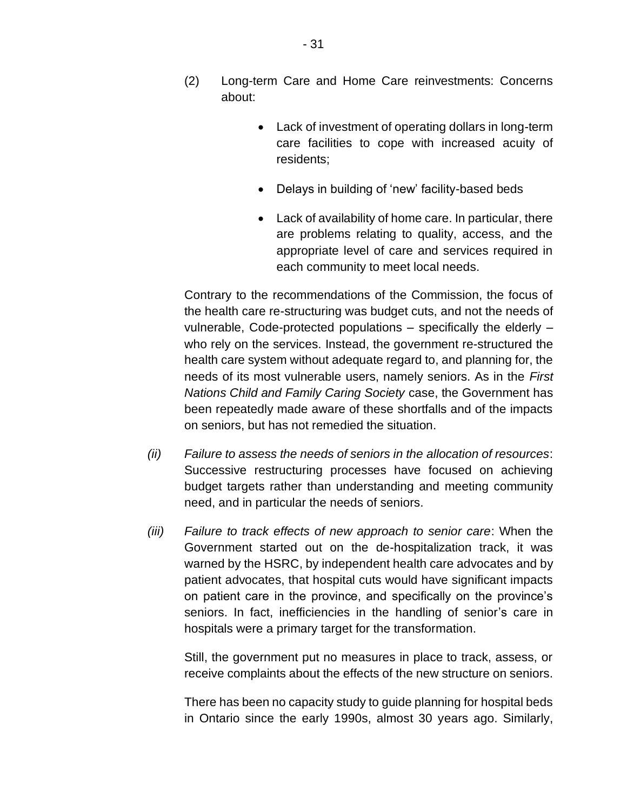- (2) Long-term Care and Home Care reinvestments: Concerns about:
	- Lack of investment of operating dollars in long-term care facilities to cope with increased acuity of residents;
	- Delays in building of 'new' facility-based beds
	- Lack of availability of home care. In particular, there are problems relating to quality, access, and the appropriate level of care and services required in each community to meet local needs.

Contrary to the recommendations of the Commission, the focus of the health care re-structuring was budget cuts, and not the needs of vulnerable, Code-protected populations – specifically the elderly – who rely on the services. Instead, the government re-structured the health care system without adequate regard to, and planning for, the needs of its most vulnerable users, namely seniors. As in the *First Nations Child and Family Caring Society* case, the Government has been repeatedly made aware of these shortfalls and of the impacts on seniors, but has not remedied the situation.

- *(ii) Failure to assess the needs of seniors in the allocation of resources*: Successive restructuring processes have focused on achieving budget targets rather than understanding and meeting community need, and in particular the needs of seniors.
- *(iii) Failure to track effects of new approach to senior care*: When the Government started out on the de-hospitalization track, it was warned by the HSRC, by independent health care advocates and by patient advocates, that hospital cuts would have significant impacts on patient care in the province, and specifically on the province's seniors. In fact, inefficiencies in the handling of senior's care in hospitals were a primary target for the transformation.

Still, the government put no measures in place to track, assess, or receive complaints about the effects of the new structure on seniors.

There has been no capacity study to guide planning for hospital beds in Ontario since the early 1990s, almost 30 years ago. Similarly,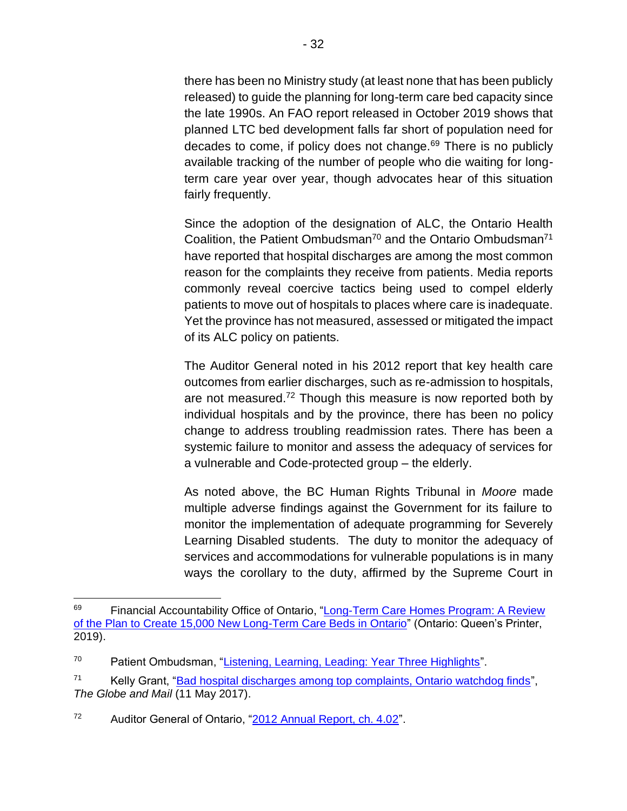there has been no Ministry study (at least none that has been publicly released) to guide the planning for long-term care bed capacity since the late 1990s. An FAO report released in October 2019 shows that planned LTC bed development falls far short of population need for decades to come, if policy does not change.<sup>69</sup> There is no publicly available tracking of the number of people who die waiting for longterm care year over year, though advocates hear of this situation fairly frequently.

Since the adoption of the designation of ALC, the Ontario Health Coalition, the Patient Ombudsman<sup>70</sup> and the Ontario Ombudsman<sup>71</sup> have reported that hospital discharges are among the most common reason for the complaints they receive from patients. Media reports commonly reveal coercive tactics being used to compel elderly patients to move out of hospitals to places where care is inadequate. Yet the province has not measured, assessed or mitigated the impact of its ALC policy on patients.

The Auditor General noted in his 2012 report that key health care outcomes from earlier discharges, such as re-admission to hospitals, are not measured.<sup>72</sup> Though this measure is now reported both by individual hospitals and by the province, there has been no policy change to address troubling readmission rates. There has been a systemic failure to monitor and assess the adequacy of services for a vulnerable and Code-protected group – the elderly.

As noted above, the BC Human Rights Tribunal in *Moore* made multiple adverse findings against the Government for its failure to monitor the implementation of adequate programming for Severely Learning Disabled students. The duty to monitor the adequacy of services and accommodations for vulnerable populations is in many ways the corollary to the duty, affirmed by the Supreme Court in

<sup>&</sup>lt;sup>69</sup> Financial Accountability Office of Ontario, "Long-Term Care Homes Program: A Review [of the Plan to Create 15,000 New Long-Term Care Beds](https://www.fao-on.org/web/default/files/publications/FA1810%20Long-term%20Care%20Bed%20Expansion%20Analysis/Long-term-care-homes%20program.pdf) in Ontario" (Ontario: Queen's Printer, 2019).

<sup>&</sup>lt;sup>70</sup> Patient Ombudsman, ["Listening, Learning, Leading: Year Three Highlights"](https://www.patientombudsman.ca/year-three/).

<sup>71</sup> Kelly Grant, ["Bad hospital discharges among top complaints, Ontario watchdog finds"](https://www.theglobeandmail.com/news/national/bad-hospital-discharges-among-top-complaints-ontario-watchdog-finds/article34963271/), *The Globe and Mail* (11 May 2017).

<sup>72</sup> Auditor General of Ontario, ["2012 Annual Report, ch. 4.02"](https://www.auditor.on.ca/en/content/annualreports/arreports/en12/402en12.pdf).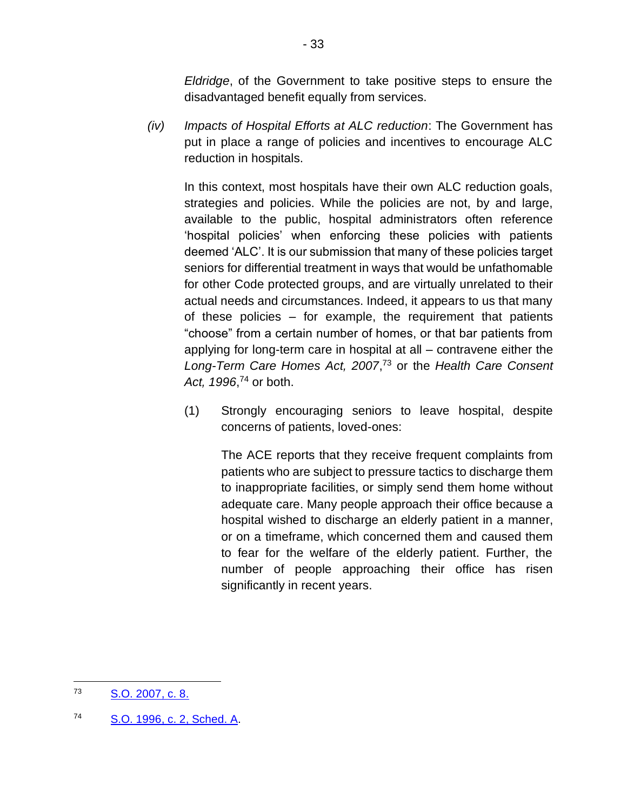*Eldridge*, of the Government to take positive steps to ensure the disadvantaged benefit equally from services.

*(iv) Impacts of Hospital Efforts at ALC reduction*: The Government has put in place a range of policies and incentives to encourage ALC reduction in hospitals.

In this context, most hospitals have their own ALC reduction goals, strategies and policies. While the policies are not, by and large, available to the public, hospital administrators often reference 'hospital policies' when enforcing these policies with patients deemed 'ALC'. It is our submission that many of these policies target seniors for differential treatment in ways that would be unfathomable for other Code protected groups, and are virtually unrelated to their actual needs and circumstances. Indeed, it appears to us that many of these policies – for example, the requirement that patients "choose" from a certain number of homes, or that bar patients from applying for long-term care in hospital at all – contravene either the *Long-Term Care Homes Act, 2007*, <sup>73</sup> or the *Health Care Consent Act, 1996*, <sup>74</sup> or both.

(1) Strongly encouraging seniors to leave hospital, despite concerns of patients, loved-ones:

The ACE reports that they receive frequent complaints from patients who are subject to pressure tactics to discharge them to inappropriate facilities, or simply send them home without adequate care. Many people approach their office because a hospital wished to discharge an elderly patient in a manner, or on a timeframe, which concerned them and caused them to fear for the welfare of the elderly patient. Further, the number of people approaching their office has risen significantly in recent years.

<sup>73</sup> [S.O. 2007, c. 8.](https://www.ontario.ca/laws/statute/07l08)

<sup>74</sup> [S.O. 1996, c. 2, Sched. A.](https://www.ontario.ca/laws/statute/96h02)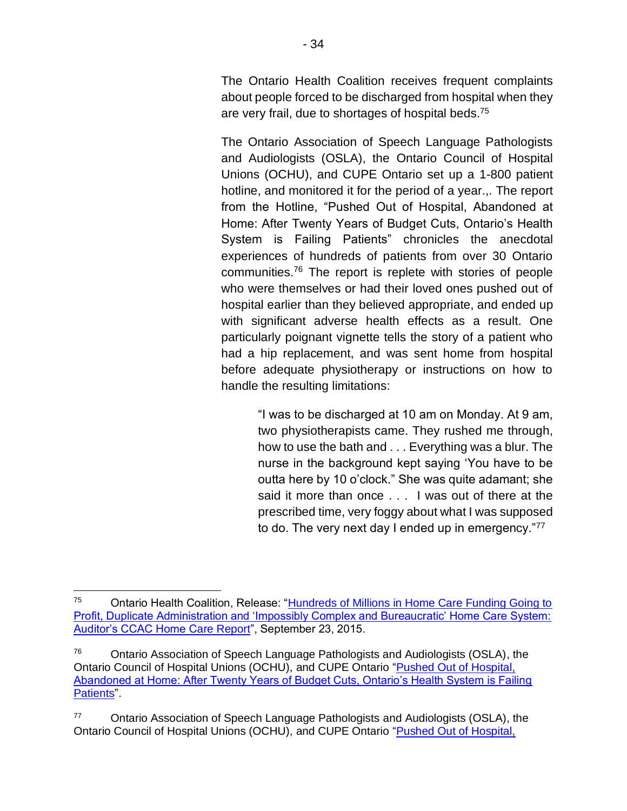The Ontario Health Coalition receives frequent complaints about people forced to be discharged from hospital when they are very frail, due to shortages of hospital beds.<sup>75</sup>

The Ontario Association of Speech Language Pathologists and Audiologists (OSLA), the Ontario Council of Hospital Unions (OCHU), and CUPE Ontario set up a 1-800 patient hotline, and monitored it for the period of a year.,. The report from the Hotline, "Pushed Out of Hospital, Abandoned at Home: After Twenty Years of Budget Cuts, Ontario's Health System is Failing Patients" chronicles the anecdotal experiences of hundreds of patients from over 30 Ontario communities.<sup>76</sup> The report is replete with stories of people who were themselves or had their loved ones pushed out of hospital earlier than they believed appropriate, and ended up with significant adverse health effects as a result. One particularly poignant vignette tells the story of a patient who had a hip replacement, and was sent home from hospital before adequate physiotherapy or instructions on how to handle the resulting limitations:

> "I was to be discharged at 10 am on Monday. At 9 am, two physiotherapists came. They rushed me through, how to use the bath and . . . Everything was a blur. The nurse in the background kept saying 'You have to be outta here by 10 o'clock." She was quite adamant; she said it more than once . . . I was out of there at the prescribed time, very foggy about what I was supposed to do. The very next day I ended up in emergency."77

<sup>75</sup> Ontario Health Coalition, Release: ["Hundreds of Millions in Home Care Funding Going to](https://www.ontariohealthcoalition.ca/index.php/release-hundreds-of-millions-in-home-care-funding-going-to-profit-duplicate-administration-and-impossibly-complex-and-bureaucratic-home-care-system-auditors-ccac-home-care-report/)  [Profit, Duplicate Administration and 'Impossibly Complex and Bureaucratic' Home Care System:](https://www.ontariohealthcoalition.ca/index.php/release-hundreds-of-millions-in-home-care-funding-going-to-profit-duplicate-administration-and-impossibly-complex-and-bureaucratic-home-care-system-auditors-ccac-home-care-report/)  [Auditor's CCAC Home Care Report"](https://www.ontariohealthcoalition.ca/index.php/release-hundreds-of-millions-in-home-care-funding-going-to-profit-duplicate-administration-and-impossibly-complex-and-bureaucratic-home-care-system-auditors-ccac-home-care-report/), September 23, 2015.

<sup>76</sup> Ontario Association of Speech Language Pathologists and Audiologists (OSLA), the Ontario Council of Hospital Unions (OCHU), and CUPE Ontario ["Pushed Out of Hospital,](https://cupe.on.ca/wp-content/uploads/webarc/archivedat6206.pdf)  [Abandoned at Home: After Twenty Years of Budget Cuts, Ontario's Health System is Failing](https://cupe.on.ca/wp-content/uploads/webarc/archivedat6206.pdf)  [Patients"](https://cupe.on.ca/wp-content/uploads/webarc/archivedat6206.pdf).

<sup>77</sup> Ontario Association of Speech Language Pathologists and Audiologists (OSLA), the Ontario Council of Hospital Unions (OCHU), and CUPE Ontario ["Pushed Out of Hospital,](https://cupe.on.ca/wp-content/uploads/webarc/archivedat6206.pdf)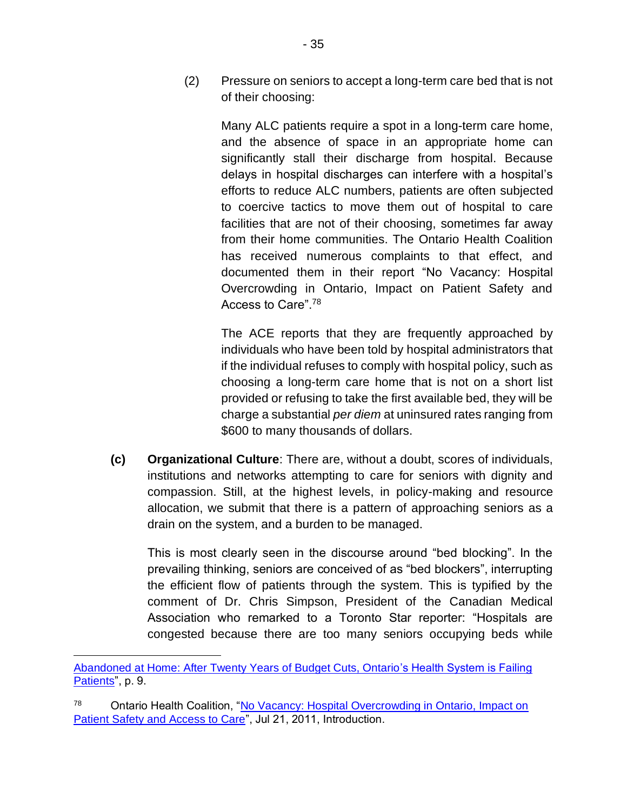(2) Pressure on seniors to accept a long-term care bed that is not of their choosing:

Many ALC patients require a spot in a long-term care home, and the absence of space in an appropriate home can significantly stall their discharge from hospital. Because delays in hospital discharges can interfere with a hospital's efforts to reduce ALC numbers, patients are often subjected to coercive tactics to move them out of hospital to care facilities that are not of their choosing, sometimes far away from their home communities. The Ontario Health Coalition has received numerous complaints to that effect, and documented them in their report "No Vacancy: Hospital Overcrowding in Ontario, Impact on Patient Safety and Access to Care".<sup>78</sup>

The ACE reports that they are frequently approached by individuals who have been told by hospital administrators that if the individual refuses to comply with hospital policy, such as choosing a long-term care home that is not on a short list provided or refusing to take the first available bed, they will be charge a substantial *per diem* at uninsured rates ranging from \$600 to many thousands of dollars.

**(c) Organizational Culture**: There are, without a doubt, scores of individuals, institutions and networks attempting to care for seniors with dignity and compassion. Still, at the highest levels, in policy-making and resource allocation, we submit that there is a pattern of approaching seniors as a drain on the system, and a burden to be managed.

This is most clearly seen in the discourse around "bed blocking". In the prevailing thinking, seniors are conceived of as "bed blockers", interrupting the efficient flow of patients through the system. This is typified by the comment of Dr. Chris Simpson, President of the Canadian Medical Association who remarked to a Toronto Star reporter: "Hospitals are congested because there are too many seniors occupying beds while

[Abandoned at Home: After Twenty Years of Budget Cuts, Ontario's Health System is Failing](https://cupe.on.ca/wp-content/uploads/webarc/archivedat6206.pdf)  [Patients"](https://cupe.on.ca/wp-content/uploads/webarc/archivedat6206.pdf), p. 9.

<sup>78</sup> Ontario Health Coalition, ["No Vacancy: Hospital Overcrowding in Ontario, Impact on](https://www.ontariohealthcoalition.ca/index.php/no-vacancy-hospital-overcrowding-in-ontario-impact-on-patient-safety-and-access-to-care/)  [Patient Safety and Access to Care"](https://www.ontariohealthcoalition.ca/index.php/no-vacancy-hospital-overcrowding-in-ontario-impact-on-patient-safety-and-access-to-care/), Jul 21, 2011, Introduction.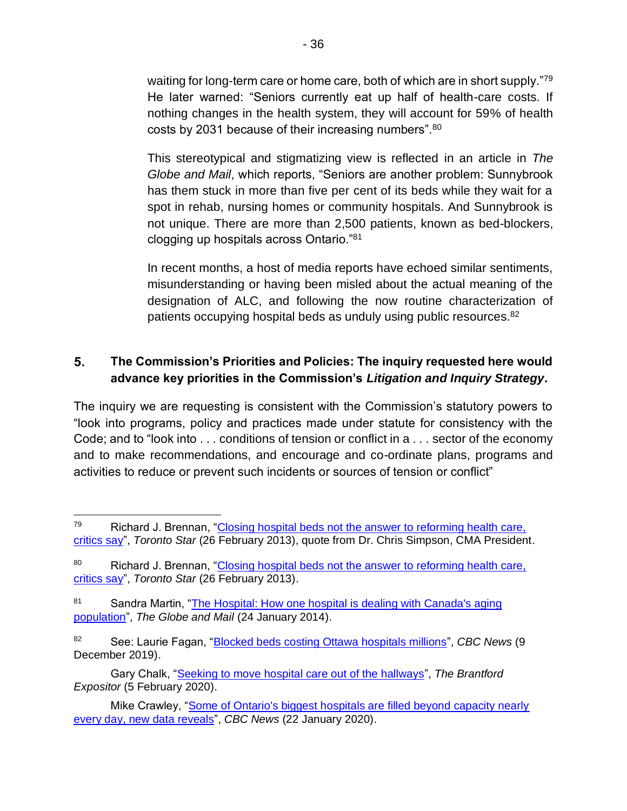waiting for long-term care or home care, both of which are in short supply."<sup>79</sup> He later warned: "Seniors currently eat up half of health-care costs. If nothing changes in the health system, they will account for 59% of health costs by 2031 because of their increasing numbers". 80

This stereotypical and stigmatizing view is reflected in an article in *The Globe and Mail*, which reports, "Seniors are another problem: Sunnybrook has them stuck in more than five per cent of its beds while they wait for a spot in rehab, nursing homes or community hospitals. And Sunnybrook is not unique. There are more than 2,500 patients, known as bed-blockers, clogging up hospitals across Ontario."<sup>81</sup>

In recent months, a host of media reports have echoed similar sentiments, misunderstanding or having been misled about the actual meaning of the designation of ALC, and following the now routine characterization of patients occupying hospital beds as unduly using public resources.<sup>82</sup>

## $5.$ **The Commission's Priorities and Policies: The inquiry requested here would advance key priorities in the Commission's** *Litigation and Inquiry Strategy***.**

The inquiry we are requesting is consistent with the Commission's statutory powers to "look into programs, policy and practices made under statute for consistency with the Code; and to "look into . . . conditions of tension or conflict in a . . . sector of the economy and to make recommendations, and encourage and co-ordinate plans, programs and activities to reduce or prevent such incidents or sources of tension or conflict"

<sup>82</sup> See: Laurie Fagan, ["Blocked beds costing Ottawa hospitals millions"](https://www.cbc.ca/news/canada/ottawa/health-care-hospitals-patients-home-care-long-term-care-1.5385572), *CBC News* (9 December 2019).

Gary Chalk, ["Seeking to move hospital care out of the hallways"](https://www.brantfordexpositor.ca/news/local-news/seeking-to-move-hospital-care-out-of-the-hallways), *The Brantford Expositor* (5 February 2020).

Mike Crawley, ["Some of Ontario's biggest hospitals are filled beyond capacity nearly](https://www.cbc.ca/news/canada/toronto/ontario-hospital-hallway-medicine-healthcare-beyond-capacity-1.5420434)  [every day, new data reveals"](https://www.cbc.ca/news/canada/toronto/ontario-hospital-hallway-medicine-healthcare-beyond-capacity-1.5420434), *CBC News* (22 January 2020).

<sup>79</sup> Richard J. Brennan, ["Closing hospital beds not the answer to reforming health care,](https://www.thestar.com/news/canada/2013/02/26/closing_hospital_beds_not_the_answer_to_reforming_health_care_critics_say.html)  [critics say"](https://www.thestar.com/news/canada/2013/02/26/closing_hospital_beds_not_the_answer_to_reforming_health_care_critics_say.html), *Toronto Star* (26 February 2013), quote from Dr. Chris Simpson, CMA President.

<sup>80</sup> Richard J. Brennan, "Closing hospital beds not the answer to reforming health care, [critics say"](https://www.thestar.com/news/canada/2013/02/26/closing_hospital_beds_not_the_answer_to_reforming_health_care_critics_say.html), *Toronto Star* (26 February 2013).

<sup>81</sup> Sandra Martin, "The Hospital: How one hospital is dealing with Canada's aging [population"](https://www.theglobeandmail.com/life/health-and-fitness/health/the-hospital/how-one-hospital-is-dealing-with-canadas-ageing-population/article16492881/), *The Globe and Mail* (24 January 2014).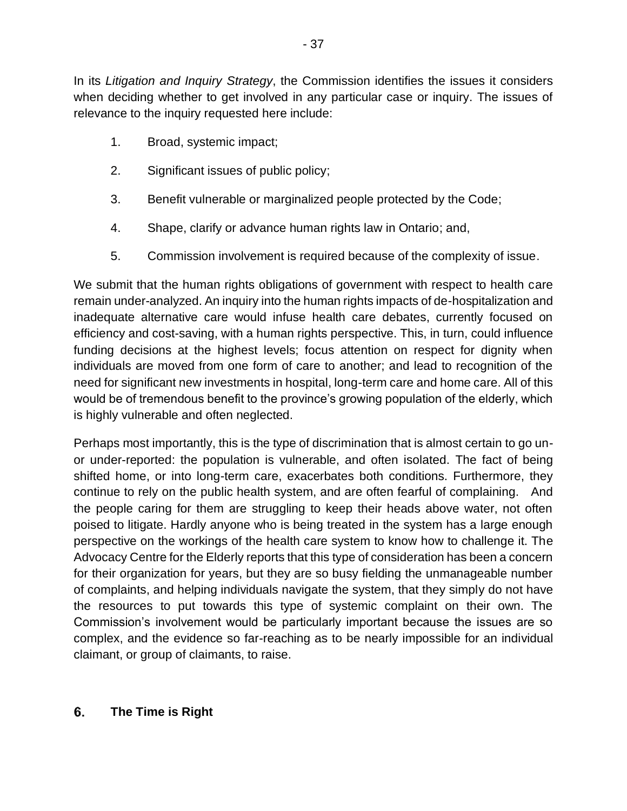In its *Litigation and Inquiry Strategy*, the Commission identifies the issues it considers when deciding whether to get involved in any particular case or inquiry. The issues of relevance to the inquiry requested here include:

- 1. Broad, systemic impact;
- 2. Significant issues of public policy;
- 3. Benefit vulnerable or marginalized people protected by the Code;
- 4. Shape, clarify or advance human rights law in Ontario; and,
- 5. Commission involvement is required because of the complexity of issue.

We submit that the human rights obligations of government with respect to health care remain under-analyzed. An inquiry into the human rights impacts of de-hospitalization and inadequate alternative care would infuse health care debates, currently focused on efficiency and cost-saving, with a human rights perspective. This, in turn, could influence funding decisions at the highest levels; focus attention on respect for dignity when individuals are moved from one form of care to another; and lead to recognition of the need for significant new investments in hospital, long-term care and home care. All of this would be of tremendous benefit to the province's growing population of the elderly, which is highly vulnerable and often neglected.

Perhaps most importantly, this is the type of discrimination that is almost certain to go unor under-reported: the population is vulnerable, and often isolated. The fact of being shifted home, or into long-term care, exacerbates both conditions. Furthermore, they continue to rely on the public health system, and are often fearful of complaining. And the people caring for them are struggling to keep their heads above water, not often poised to litigate. Hardly anyone who is being treated in the system has a large enough perspective on the workings of the health care system to know how to challenge it. The Advocacy Centre for the Elderly reports that this type of consideration has been a concern for their organization for years, but they are so busy fielding the unmanageable number of complaints, and helping individuals navigate the system, that they simply do not have the resources to put towards this type of systemic complaint on their own. The Commission's involvement would be particularly important because the issues are so complex, and the evidence so far-reaching as to be nearly impossible for an individual claimant, or group of claimants, to raise.

#### 6. **The Time is Right**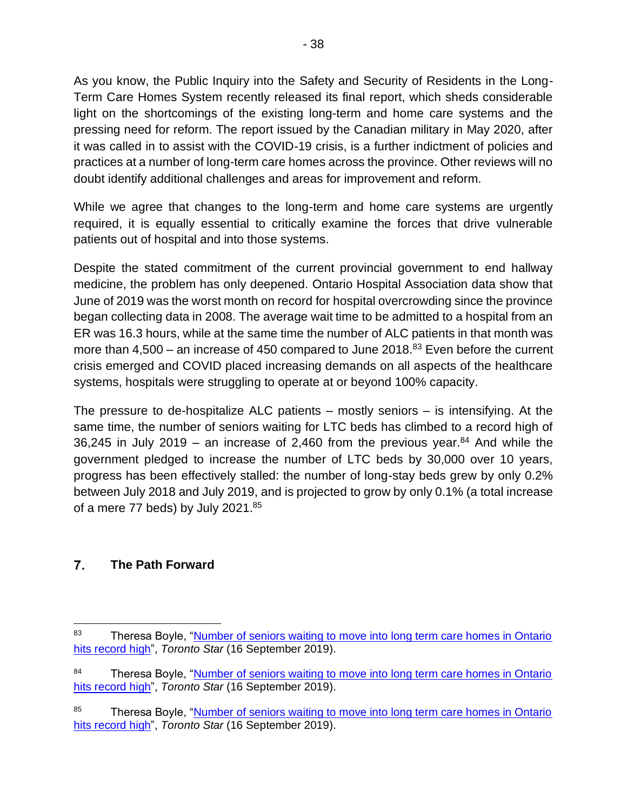As you know, the Public Inquiry into the Safety and Security of Residents in the Long-Term Care Homes System recently released its final report, which sheds considerable light on the shortcomings of the existing long-term and home care systems and the pressing need for reform. The report issued by the Canadian military in May 2020, after it was called in to assist with the COVID-19 crisis, is a further indictment of policies and practices at a number of long-term care homes across the province. Other reviews will no doubt identify additional challenges and areas for improvement and reform.

While we agree that changes to the long-term and home care systems are urgently required, it is equally essential to critically examine the forces that drive vulnerable patients out of hospital and into those systems.

Despite the stated commitment of the current provincial government to end hallway medicine, the problem has only deepened. Ontario Hospital Association data show that June of 2019 was the worst month on record for hospital overcrowding since the province began collecting data in 2008. The average wait time to be admitted to a hospital from an ER was 16.3 hours, while at the same time the number of ALC patients in that month was more than  $4,500 -$  an increase of 450 compared to June 2018.<sup>83</sup> Even before the current crisis emerged and COVID placed increasing demands on all aspects of the healthcare systems, hospitals were struggling to operate at or beyond 100% capacity.

The pressure to de-hospitalize ALC patients – mostly seniors – is intensifying. At the same time, the number of seniors waiting for LTC beds has climbed to a record high of 36,245 in July 2019 – an increase of 2,460 from the previous year. $84$  And while the government pledged to increase the number of LTC beds by 30,000 over 10 years, progress has been effectively stalled: the number of long-stay beds grew by only 0.2% between July 2018 and July 2019, and is projected to grow by only 0.1% (a total increase of a mere 77 beds) by July 2021.<sup>85</sup>

### $\overline{7}$ . **The Path Forward**

<sup>&</sup>lt;sup>83</sup> Theresa Boyle, "Number of seniors waiting to move into long term care homes in Ontario [hits record high"](https://www.thestar.com/news/gta/2019/09/16/more-seniors-than-ever-waiting-for-long-term-care-beds-in-ontario.html), *Toronto Star* (16 September 2019).

<sup>84</sup> Theresa Boyle, "Number of seniors waiting to move into long term care homes in Ontario [hits record high"](https://www.thestar.com/news/gta/2019/09/16/more-seniors-than-ever-waiting-for-long-term-care-beds-in-ontario.html), *Toronto Star* (16 September 2019).

<sup>&</sup>lt;sup>85</sup> Theresa Boyle, "Number of seniors waiting to move into long term care homes in Ontario [hits record high"](https://www.thestar.com/news/gta/2019/09/16/more-seniors-than-ever-waiting-for-long-term-care-beds-in-ontario.html), *Toronto Star* (16 September 2019).